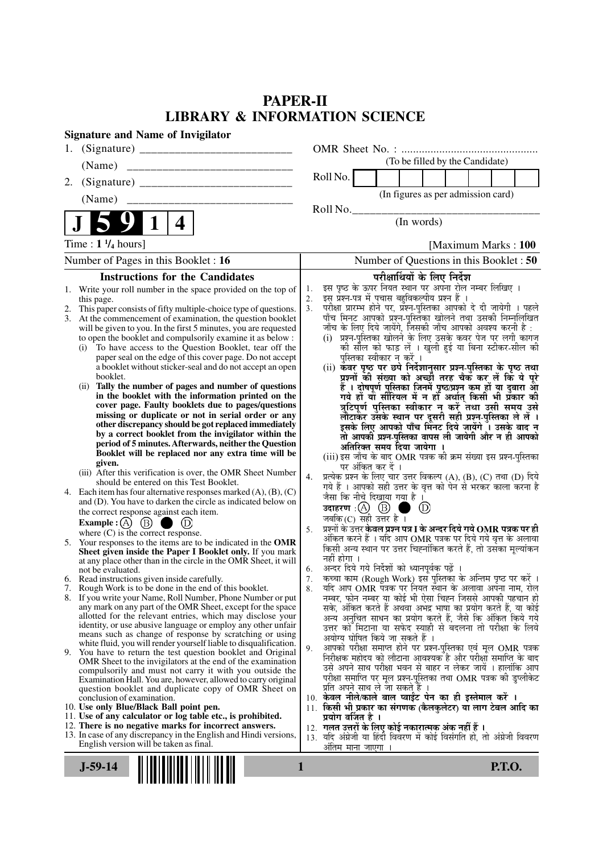# **PAPER-II LIBRARY & INFORMATION SCIENCE**

| <b>Signature and Name of Invigilator</b>                                                                                                                                                                                                                                                                                                                                                                                                                                                                                                                                                                                                                                                                                                                                                                                                                                                                                                                                                                                                                                                                                                                                                                                                                                                                                                                                                                                                                                                                                                                                                                                                                                                                                                                                                                                                                                                                                                                                                                                                                                                                                                                                                                                                                                                                                                                                                                          |                                                                                                                                                                                                                                                                                                                                                                                                                                                                                                                                                                                                                                                                                                                                                                                                                                                                                                                                                                                                                                                                                                                                                                                                                                                                                                                                                                                                                                                                                                                                                                                                                                                                                                                                                                                                                                                                                                                                                                                                                                                                                                                                                                                                                                                                                                                                                           |
|-------------------------------------------------------------------------------------------------------------------------------------------------------------------------------------------------------------------------------------------------------------------------------------------------------------------------------------------------------------------------------------------------------------------------------------------------------------------------------------------------------------------------------------------------------------------------------------------------------------------------------------------------------------------------------------------------------------------------------------------------------------------------------------------------------------------------------------------------------------------------------------------------------------------------------------------------------------------------------------------------------------------------------------------------------------------------------------------------------------------------------------------------------------------------------------------------------------------------------------------------------------------------------------------------------------------------------------------------------------------------------------------------------------------------------------------------------------------------------------------------------------------------------------------------------------------------------------------------------------------------------------------------------------------------------------------------------------------------------------------------------------------------------------------------------------------------------------------------------------------------------------------------------------------------------------------------------------------------------------------------------------------------------------------------------------------------------------------------------------------------------------------------------------------------------------------------------------------------------------------------------------------------------------------------------------------------------------------------------------------------------------------------------------------|-----------------------------------------------------------------------------------------------------------------------------------------------------------------------------------------------------------------------------------------------------------------------------------------------------------------------------------------------------------------------------------------------------------------------------------------------------------------------------------------------------------------------------------------------------------------------------------------------------------------------------------------------------------------------------------------------------------------------------------------------------------------------------------------------------------------------------------------------------------------------------------------------------------------------------------------------------------------------------------------------------------------------------------------------------------------------------------------------------------------------------------------------------------------------------------------------------------------------------------------------------------------------------------------------------------------------------------------------------------------------------------------------------------------------------------------------------------------------------------------------------------------------------------------------------------------------------------------------------------------------------------------------------------------------------------------------------------------------------------------------------------------------------------------------------------------------------------------------------------------------------------------------------------------------------------------------------------------------------------------------------------------------------------------------------------------------------------------------------------------------------------------------------------------------------------------------------------------------------------------------------------------------------------------------------------------------------------------------------------|
| 1.                                                                                                                                                                                                                                                                                                                                                                                                                                                                                                                                                                                                                                                                                                                                                                                                                                                                                                                                                                                                                                                                                                                                                                                                                                                                                                                                                                                                                                                                                                                                                                                                                                                                                                                                                                                                                                                                                                                                                                                                                                                                                                                                                                                                                                                                                                                                                                                                                |                                                                                                                                                                                                                                                                                                                                                                                                                                                                                                                                                                                                                                                                                                                                                                                                                                                                                                                                                                                                                                                                                                                                                                                                                                                                                                                                                                                                                                                                                                                                                                                                                                                                                                                                                                                                                                                                                                                                                                                                                                                                                                                                                                                                                                                                                                                                                           |
| (Name)                                                                                                                                                                                                                                                                                                                                                                                                                                                                                                                                                                                                                                                                                                                                                                                                                                                                                                                                                                                                                                                                                                                                                                                                                                                                                                                                                                                                                                                                                                                                                                                                                                                                                                                                                                                                                                                                                                                                                                                                                                                                                                                                                                                                                                                                                                                                                                                                            | (To be filled by the Candidate)                                                                                                                                                                                                                                                                                                                                                                                                                                                                                                                                                                                                                                                                                                                                                                                                                                                                                                                                                                                                                                                                                                                                                                                                                                                                                                                                                                                                                                                                                                                                                                                                                                                                                                                                                                                                                                                                                                                                                                                                                                                                                                                                                                                                                                                                                                                           |
| 2.                                                                                                                                                                                                                                                                                                                                                                                                                                                                                                                                                                                                                                                                                                                                                                                                                                                                                                                                                                                                                                                                                                                                                                                                                                                                                                                                                                                                                                                                                                                                                                                                                                                                                                                                                                                                                                                                                                                                                                                                                                                                                                                                                                                                                                                                                                                                                                                                                | Roll No.                                                                                                                                                                                                                                                                                                                                                                                                                                                                                                                                                                                                                                                                                                                                                                                                                                                                                                                                                                                                                                                                                                                                                                                                                                                                                                                                                                                                                                                                                                                                                                                                                                                                                                                                                                                                                                                                                                                                                                                                                                                                                                                                                                                                                                                                                                                                                  |
| (Name)                                                                                                                                                                                                                                                                                                                                                                                                                                                                                                                                                                                                                                                                                                                                                                                                                                                                                                                                                                                                                                                                                                                                                                                                                                                                                                                                                                                                                                                                                                                                                                                                                                                                                                                                                                                                                                                                                                                                                                                                                                                                                                                                                                                                                                                                                                                                                                                                            | (In figures as per admission card)                                                                                                                                                                                                                                                                                                                                                                                                                                                                                                                                                                                                                                                                                                                                                                                                                                                                                                                                                                                                                                                                                                                                                                                                                                                                                                                                                                                                                                                                                                                                                                                                                                                                                                                                                                                                                                                                                                                                                                                                                                                                                                                                                                                                                                                                                                                        |
|                                                                                                                                                                                                                                                                                                                                                                                                                                                                                                                                                                                                                                                                                                                                                                                                                                                                                                                                                                                                                                                                                                                                                                                                                                                                                                                                                                                                                                                                                                                                                                                                                                                                                                                                                                                                                                                                                                                                                                                                                                                                                                                                                                                                                                                                                                                                                                                                                   | Roll No.                                                                                                                                                                                                                                                                                                                                                                                                                                                                                                                                                                                                                                                                                                                                                                                                                                                                                                                                                                                                                                                                                                                                                                                                                                                                                                                                                                                                                                                                                                                                                                                                                                                                                                                                                                                                                                                                                                                                                                                                                                                                                                                                                                                                                                                                                                                                                  |
| 4                                                                                                                                                                                                                                                                                                                                                                                                                                                                                                                                                                                                                                                                                                                                                                                                                                                                                                                                                                                                                                                                                                                                                                                                                                                                                                                                                                                                                                                                                                                                                                                                                                                                                                                                                                                                                                                                                                                                                                                                                                                                                                                                                                                                                                                                                                                                                                                                                 | (In words)                                                                                                                                                                                                                                                                                                                                                                                                                                                                                                                                                                                                                                                                                                                                                                                                                                                                                                                                                                                                                                                                                                                                                                                                                                                                                                                                                                                                                                                                                                                                                                                                                                                                                                                                                                                                                                                                                                                                                                                                                                                                                                                                                                                                                                                                                                                                                |
| Time : $1 \frac{1}{4}$ hours]                                                                                                                                                                                                                                                                                                                                                                                                                                                                                                                                                                                                                                                                                                                                                                                                                                                                                                                                                                                                                                                                                                                                                                                                                                                                                                                                                                                                                                                                                                                                                                                                                                                                                                                                                                                                                                                                                                                                                                                                                                                                                                                                                                                                                                                                                                                                                                                     | [Maximum Marks: 100]                                                                                                                                                                                                                                                                                                                                                                                                                                                                                                                                                                                                                                                                                                                                                                                                                                                                                                                                                                                                                                                                                                                                                                                                                                                                                                                                                                                                                                                                                                                                                                                                                                                                                                                                                                                                                                                                                                                                                                                                                                                                                                                                                                                                                                                                                                                                      |
| Number of Pages in this Booklet : 16                                                                                                                                                                                                                                                                                                                                                                                                                                                                                                                                                                                                                                                                                                                                                                                                                                                                                                                                                                                                                                                                                                                                                                                                                                                                                                                                                                                                                                                                                                                                                                                                                                                                                                                                                                                                                                                                                                                                                                                                                                                                                                                                                                                                                                                                                                                                                                              | Number of Questions in this Booklet: 50                                                                                                                                                                                                                                                                                                                                                                                                                                                                                                                                                                                                                                                                                                                                                                                                                                                                                                                                                                                                                                                                                                                                                                                                                                                                                                                                                                                                                                                                                                                                                                                                                                                                                                                                                                                                                                                                                                                                                                                                                                                                                                                                                                                                                                                                                                                   |
| <b>Instructions for the Candidates</b>                                                                                                                                                                                                                                                                                                                                                                                                                                                                                                                                                                                                                                                                                                                                                                                                                                                                                                                                                                                                                                                                                                                                                                                                                                                                                                                                                                                                                                                                                                                                                                                                                                                                                                                                                                                                                                                                                                                                                                                                                                                                                                                                                                                                                                                                                                                                                                            | परीक्षार्थियों के लिए निर्देश                                                                                                                                                                                                                                                                                                                                                                                                                                                                                                                                                                                                                                                                                                                                                                                                                                                                                                                                                                                                                                                                                                                                                                                                                                                                                                                                                                                                                                                                                                                                                                                                                                                                                                                                                                                                                                                                                                                                                                                                                                                                                                                                                                                                                                                                                                                             |
| 1. Write your roll number in the space provided on the top of<br>this page.<br>This paper consists of fifty multiple-choice type of questions.<br>2.<br>At the commencement of examination, the question booklet<br>3.<br>will be given to you. In the first 5 minutes, you are requested<br>to open the booklet and compulsorily examine it as below :<br>To have access to the Question Booklet, tear off the<br>(i)<br>paper seal on the edge of this cover page. Do not accept<br>a booklet without sticker-seal and do not accept an open<br>booklet.<br>(ii) Tally the number of pages and number of questions<br>in the booklet with the information printed on the<br>cover page. Faulty booklets due to pages/questions<br>missing or duplicate or not in serial order or any<br>other discrepancy should be got replaced immediately<br>by a correct booklet from the invigilator within the<br>period of 5 minutes. Afterwards, neither the Question<br>Booklet will be replaced nor any extra time will be<br>given.<br>(iii) After this verification is over, the OMR Sheet Number<br>should be entered on this Test Booklet.<br>4. Each item has four alternative responses marked $(A)$ , $(B)$ , $(C)$<br>and (D). You have to darken the circle as indicated below on<br>the correct response against each item.<br>Example : (A) $\circled{B}$<br>$\bigcirc$ (D)<br>where $(C)$ is the correct response.<br>5. Your responses to the items are to be indicated in the OMR<br>Sheet given inside the Paper I Booklet only. If you mark<br>at any place other than in the circle in the OMR Sheet, it will<br>not be evaluated.<br>6. Read instructions given inside carefully.<br>7. Rough Work is to be done in the end of this booklet.<br>8. If you write your Name, Roll Number, Phone Number or put<br>any mark on any part of the OMR Sheet, except for the space<br>allotted for the relevant entries, which may disclose your<br>identity, or use abusive language or employ any other unfair<br>means such as change of response by scratching or using<br>white fluid, you will render yourself liable to disqualification.<br>9. You have to return the test question booklet and Original<br>OMR Sheet to the invigilators at the end of the examination<br>compulsorily and must not carry it with you outside the<br>Examination Hall. You are, however, allowed to carry original | इस पृष्ठ के ऊपर नियत स्थान पर अपना रोल नम्बर लिखिए ।<br>1.<br>इस प्रश्न-पत्र में पचास बहुविकल्पीय प्रश्न हैं।<br>2.<br>परीक्षा प्रारम्भ होने पर, प्रश्न-पुस्तिका आपको दे दी जायेगी । पहले<br>3.<br>पाँच मिनट आपको प्रश्न-पुस्तिका खोलने तथा उसकी निम्नलिखित<br>जाँच के लिए दिये जायेंगे, जिसकी जाँच आपको अवश्य करनी है :<br>(i) प्रश्न-पुस्तिका खोलने के लिए उसके कवर पेज पर लगी कागज<br>को सील को फाड़ लें । खुली हुई या बिना स्टीकर-सील की<br>पुस्तिका स्वीकार न करें ।<br>(ii) कवर पृष्ठ पर छपे निर्देशानुसार प्रश्न्-पुस्तिका के पृष्ठ तथा<br>प्रश्नों की संख्या को अच्छी तरह चैक कर लें कि ये पूरे<br>हैं । दोषपूर्ण पुस्तिका जिनमें पृष्ठ/प्रश्न कम हों या दुबारा आ<br>गये हो या सीरियल में न हो अर्थात् किसी भी प्रकार की<br>त्रुटिपूर्ण पुस्तिका स्वीकार न करें तथा उसी समय उसे<br>लौटाकर उसके स्थान पर दूसरी सही प्रश्न-पुस्तिका ले लें ।<br>इसके लिए आपको पाँच मिंनट दिये जायेंगे ँ। उसके बाद न<br>तो आपकी प्रश्न-पुस्तिका वापस ली जायेगी और न ही आपको<br>अतिरिक्त समय दिया जायेगा<br>(iii) इस जाँच के बाद OMR पत्रक की क्रम संख्या इस प्रश्न-पुस्तिका<br>पर अंकित कर दें ।<br>प्रत्येक प्रश्न के लिए चार उत्तर विकल्प (A), (B), (C) तथा (D) दिये<br>4.<br>गये हैं । आपको सही उत्तर के वृत्त को पेन से भरकर काला करना है<br>जैसा कि नीचे दिखाया गया है ।<br>उदाहरण $\,$ :(A) $\,$ (B) $\,$<br>(D)<br>जबकि $(C)$ सही उत्तर है ।<br>प्रश्नों के उत्तर <b>केवल प्रश्न पत्र I के अन्दर दिये गये OMR पत्रक पर ही</b><br>5.<br>अंकित करने हैं । यदि आप OMR पत्रक पर दिये गये वृत्त के अलावा<br>किसी अन्य स्थान पर उत्तर चिह्नांकित करते हैं, तो उसका मूल्यांकन<br>नहीं होगा ।<br>अन्दर दिये गये निर्देशों को ध्यानपूर्वक पढ़ें ।<br>6.<br>कच्चा काम (Rough Work) इस पुस्तिका के अन्तिम पृष्ठ पर करें ।<br>7.<br>र्याद आप OMR पत्रक पर नियत स्थान के अलावा अपना नाम, रोल<br>8.<br>नम्बर, फोन नम्बर या कोई भी ऐसा चिह्न जिससे आपकी पहचान हो<br>सके, अंकित करते हैं अथवा अभद्र भाषा का प्रयोग करते हैं, या कोई<br>अन्य अनुचित साधन का प्रयोग करते हैं, जैसे कि अंकित किये गये<br>उत्तर को मिटाना या सफेद स्याही से बदलना तो परीक्षा के लिये<br>अयोग्य घोषित किये जा सकते हैं ।<br>आपको परीक्षा समाप्त होने पर प्रश्न-पुस्तिका एवं मूल OMR पत्रक<br>9.<br>निरीक्षक महोदय को लौटाना आवश्यक है और परीक्षा समाप्ति के बाद<br>उसे अपने साथ परीक्षा भवन से बाहर न लेकर जायें । हालांकि आप<br>परीक्षा समाप्ति पर मूल प्रश्न-पुस्तिका तथा OMR पत्रक की डुप्लीकेट |
| question booklet and duplicate copy of OMR Sheet on<br>conclusion of examination.<br>10. Use only Blue/Black Ball point pen.<br>11. Use of any calculator or log table etc., is prohibited.<br>12. There is no negative marks for incorrect answers.                                                                                                                                                                                                                                                                                                                                                                                                                                                                                                                                                                                                                                                                                                                                                                                                                                                                                                                                                                                                                                                                                                                                                                                                                                                                                                                                                                                                                                                                                                                                                                                                                                                                                                                                                                                                                                                                                                                                                                                                                                                                                                                                                              | प्रति अपने साथ ले जा सकते हैं ।<br>10. केवल नीले/काले बाल प्वाईंट पेन का ही इस्तेमाल करें ।<br>11. किसी भी प्रकार का संगणक (कैलकुलेटर) या लाग टेबल आदि का<br>प्रयोग वर्जित है ।                                                                                                                                                                                                                                                                                                                                                                                                                                                                                                                                                                                                                                                                                                                                                                                                                                                                                                                                                                                                                                                                                                                                                                                                                                                                                                                                                                                                                                                                                                                                                                                                                                                                                                                                                                                                                                                                                                                                                                                                                                                                                                                                                                           |
| 13. In case of any discrepancy in the English and Hindi versions,<br>English version will be taken as final.                                                                                                                                                                                                                                                                                                                                                                                                                                                                                                                                                                                                                                                                                                                                                                                                                                                                                                                                                                                                                                                                                                                                                                                                                                                                                                                                                                                                                                                                                                                                                                                                                                                                                                                                                                                                                                                                                                                                                                                                                                                                                                                                                                                                                                                                                                      | 12.  गलत उत्तरों के लिए कोई नकारात्मक अंक नहीं हैं ।<br>13. यदि अंग्रेजी या हिंदी विवरण में कोई विसंगति हो, तो अंग्रेजी विवरण<br>अतिम माना जाएगा                                                                                                                                                                                                                                                                                                                                                                                                                                                                                                                                                                                                                                                                                                                                                                                                                                                                                                                                                                                                                                                                                                                                                                                                                                                                                                                                                                                                                                                                                                                                                                                                                                                                                                                                                                                                                                                                                                                                                                                                                                                                                                                                                                                                          |
| $J-59-14$                                                                                                                                                                                                                                                                                                                                                                                                                                                                                                                                                                                                                                                                                                                                                                                                                                                                                                                                                                                                                                                                                                                                                                                                                                                                                                                                                                                                                                                                                                                                                                                                                                                                                                                                                                                                                                                                                                                                                                                                                                                                                                                                                                                                                                                                                                                                                                                                         | <b>P.T.O.</b><br>1                                                                                                                                                                                                                                                                                                                                                                                                                                                                                                                                                                                                                                                                                                                                                                                                                                                                                                                                                                                                                                                                                                                                                                                                                                                                                                                                                                                                                                                                                                                                                                                                                                                                                                                                                                                                                                                                                                                                                                                                                                                                                                                                                                                                                                                                                                                                        |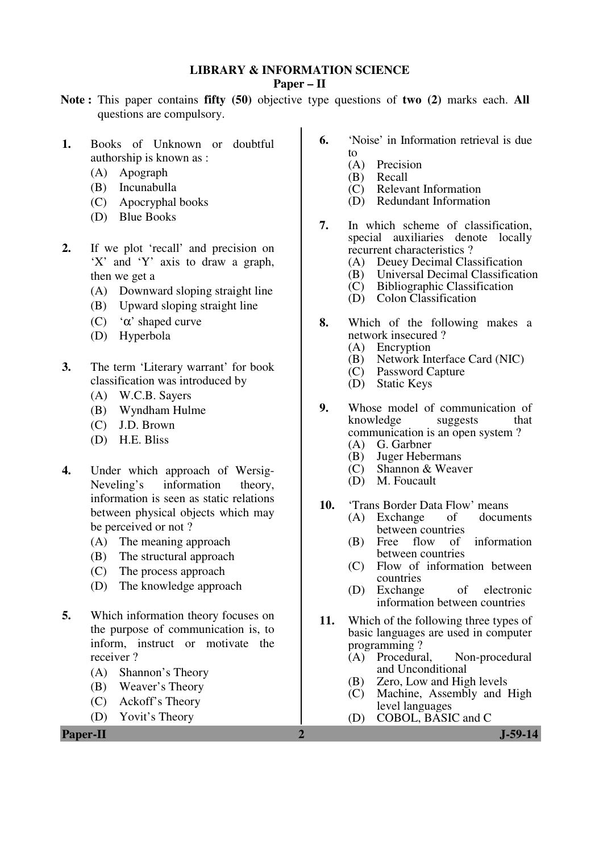#### **LIBRARY & INFORMATION SCIENCE**

#### **Paper – II**

- **Note :** This paper contains **fifty (50)** objective type questions of **two (2)** marks each. **All** questions are compulsory.
- **1.** Books of Unknown or doubtful authorship is known as :
	- (A) Apograph
	- (B) Incunabulla
	- (C) Apocryphal books
	- (D) Blue Books
- 2. If we plot 'recall' and precision on 'X' and 'Y' axis to draw a graph, then we get a
	- (A) Downward sloping straight line
	- (B) Upward sloping straight line
	- (C) 'α' shaped curve
	- (D) Hyperbola
- **3.** The term 'Literary warrant' for book classification was introduced by
	- (A) W.C.B. Sayers
	- (B) Wyndham Hulme
	- (C) J.D. Brown
	- (D) H.E. Bliss
- **4.** Under which approach of Wersig-Neveling's information theory, information is seen as static relations between physical objects which may be perceived or not ?
	- (A) The meaning approach
	- (B) The structural approach
	- (C) The process approach
	- (D) The knowledge approach
- **5.** Which information theory focuses on the purpose of communication is, to inform, instruct or motivate the receiver ?
	- (A) Shannon's Theory
	- (B) Weaver's Theory
	- (C) Ackoff's Theory
	- (D) Yovit's Theory

**Paper-II** J-59-14

- **6.** 'Noise' in Information retrieval is due
	- to (A) Precision
	-
	- (B) Recall<br>(C) Releva Relevant Information
	- (D) Redundant Information
- **7.** In which scheme of classification, special auxiliaries denote locally recurrent characteristics ?
	- (A) Deuey Decimal Classification<br>(B) Universal Decimal Classificati
	- (B) Universal Decimal Classification<br>(C) Bibliographic Classification
	- Bibliographic Classification
	- (D) Colon Classification
- **8.** Which of the following makes a network insecured ?<br>(A) Encryption
	- (A) Encryption<br>(B) Network In
	- (B) Network Interface Card (NIC)<br>(C) Password Capture
	- Password Capture
	- (D) Static Keys
- **9.** Whose model of communication of knowledge suggests that knowledge suggests that communication is an open system ?
	- (A) G. Garbner<br>(B) Juger Heber
	- Juger Hebermans
	- (C) Shannon & Weaver
	- M. Foucault
- **10.** 'Trans Border Data Flow' means<br>(A) Exchange of documents
	- $(A)$  Exchange between countries<br>(B) Free flow of
	- of information between countries
	- (C) Flow of information between countries
	- (D) Exchange of electronic information between countries
- **11.** Which of the following three types of basic languages are used in computer programming ?<br>(A) Procedural.
	- (A) Procedural, Non-procedural and Unconditional
	- (B) Zero, Low and High levels<br>(C) Machine. Assembly and
	- Machine, Assembly and High level languages
	- (D) COBOL, BASIC and C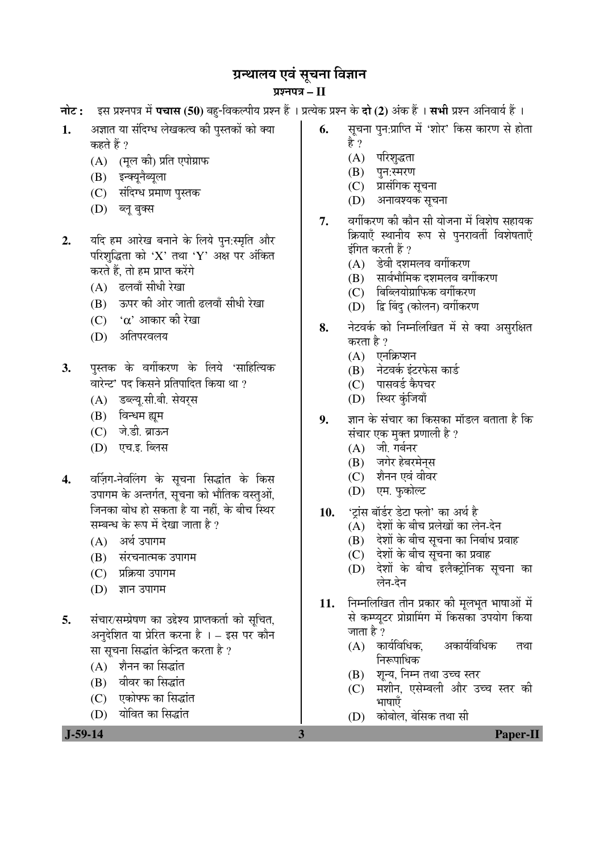# ग्रन्थालय एवं सूचना विज्ञान

## ¯ÖÏ¿®Ö¯Ö¡Ö **– II**

- <del>नोट: इस प्रश्नपत्र में **पचास (50**) बहु-</del>विकल्पीय प्रश्न हैं । प्रत्येक प्रश्न के **दो (2)** अंक हैं । सभी प्रश्न अनिवार्य हैं ।
- 1. अज्ञात या संदिग्ध लेखकत्व की पुस्तकों को क्या कहते हैं ?
	- (A) (मल की) प्रति एपोग्राफ
	- (B) इन्क्यूनैब्यूला
	- (C) संदिग्ध प्रमाण पुस्तक
	- $(D)$   $\overline{eq}$  बुक्स
- 2. यदि हम आरेख बनाने के लिये पुन:स्मृति और परिशुद्धिता को 'X' तथा 'Y' अक्ष पर अंकित करते हैं, तो हम प्राप्त करेंगे
	- $(A)$  ढलवाँ सीधी रेखा
	- (B) ऊपर की ओर जाती ढलवाँ सीधी रेखा
	- $(C)$   $\alpha$  आकार की रेखा
	- (D) अतिपरवलय
- **3.** पुस्तक के वर्गीकरण के लिये 'साहित्यिक वारेन्ट' पद किसने प्रतिपादित किया था ?
	- (A) डब्ल्यू.सी.बी. सेयर्स
	- (B) विन्धम ह्यम
	- (C) जे.डी. ब्राऊन
	- (D) एच.इ. ब्लिस
- 4. वर्ज़िग-नेवलिंग के सूचना सिद्धांत के किस उपागम के अन्तर्गत, सूचना को भौतिक वस्तुओं, जिनका बोध हो सकता है या नहीं, के बीच स्थिर सम्बन्ध के रूप में देखा जाता है ?
	- $(A)$  अर्थ उपागम
	- (B) संरचनात्मक उपागम
	- (C) प्रक्रिया उपागम
	- $(D)$  ज्ञान उपागम
- 5. संचार/सम्प्रेषण का उद्देश्य प्राप्तकर्ता को सुचित, अनुदेशित या प्रेरित करना है । – इस पर कौन सा सूचना सिद्धांत केन्द्रित करता है ?
	- (A) शैनन का सिद्धांत
	- (B) वीवर का सिद्धांत
	- (C) एकोफ्फ का सिद्धांत
	- (D) योवित का सिद्धांत
- **6.** सूचना पुन:प्राप्ति में 'शोर' किस कारण से होता है ?
	- (A) परिशृद्धता
	- (B) पुन:स्मरण<br>(C) प्रासंगिक र
	- प्रासंगिक सचना
	- (D) अनावश्यक सूचना
- 7. वर्गीकरण की कौन सी योजना में विशेष सहायक क्रियाएँ स्थानीय रूप से पुनरावर्ती विशेषताएँ इंगित करती हैं ?
	- $(A)$  डेवी दशमलव वर्गीकरण
	- (B) सार्वभौमिक दशमलव वर्गीकरण
	- $(C)$  बिब्लियोग्राफिक वर्गीकरण
	- (D) द्वि बिंदु (कोलन) वर्गीकरण
- 8. नेटवर्क को निम्नलिखित में से क्या असुरक्षित करता है ?
	- $(A)$  एनक्रिप्शन
	- $(B)$  नेटवर्क इंटरफेस कार्ड
	- (C) पासवर्ड कैपचर
	- (D) स्थिर कुंजियाँ
- **9.** ज्ञान के संचार का किसका मॉडल बताता है कि संचार एक मुक्त प्रणाली है ?
	- $(A)$  जी. गर्बनर
	- (B) जगेर हेबरमेनस
	- (C) शैनन एवं वीवर
	- (D) एम. फुकोल्ट
- 10. 'ट्रांस बॉर्डर डेटा फ्लो' का अर्थ है<br>(A) देशों के बीच प्रलेखों का ले
	- ) देशों के बीच प्रलेखों का लेन-देन
	- $(B)$  देशों के बीच सुचना का निर्बाध प्रवाह
	- (C) देशों के बीच सूचना का प्रवाह
	- (D) देशों के बीच इलैक्टोनिक सचना का लेन-देन
- 11. निम्नलिखित तीन प्रकार की मूलभूत भाषाओं में से कम्प्यटर प्रोग्रामिंग में किसका उपयोग किया जाता है ?
	- $(A)$  कार्यविधिक, अकार्यविधिक तथा निरूपाधिक
	- (B) शून्य, निम्न तथा उच्च स्तर
	- (C) मशीन, एसेम्बली और उच्च स्तर की भाषाएँ
	- (D) कोबोल, बेसिक तथा सी

 **J-59-14 3 Paper-II**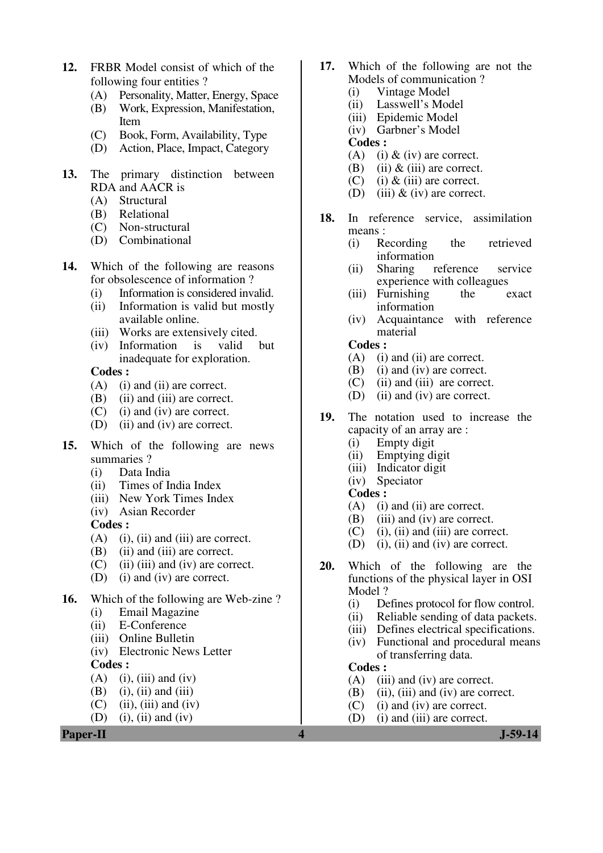- **12.** FRBR Model consist of which of the following four entities ?
	- (A) Personality, Matter, Energy, Space<br>(B) Work, Expression, Manifestation.
	- Work, Expression, Manifestation, Item
	- (C) Book, Form, Availability, Type
	- (D) Action, Place, Impact, Category
- **13.** The primary distinction between RDA and AACR is<br>(A) Structural
	- Structural
	- (B) Relational
	- (C) Non-structural
	- (D) Combinational
- **14.** Which of the following are reasons for obsolescence of information ?
	- (i) Information is considered invalid.
	- (ii) Information is valid but mostly available online.
	- (iii) Works are extensively cited.
	- (iv) Information is valid but inadequate for exploration.

- (A) (i) and (ii) are correct.
- (B) (ii) and (iii) are correct.
- (C) (i) and (iv) are correct.
- (D) (ii) and (iv) are correct.
- **15.** Which of the following are news summaries ?
	- (i) Data India
	- (ii) Times of India Index
	- (iii) New York Times Index
	- (iv) Asian Recorder

#### **Codes :**

- $(A)$  (i), (ii) and (iii) are correct.
- (B) (ii) and (iii) are correct.
- $(C)$  (ii) (iii) and (iv) are correct.
- (D) (i) and (iv) are correct.
- **16.** Which of the following are Web-zine ?
	- (i) Email Magazine
	- (ii) E-Conference
	- (iii) Online Bulletin
	- (iv) Electronic News Letter

#### **Codes :**

- $(A)$  (i), (iii) and (iv)
- $(B)$  (i), (ii) and (iii)
- $(C)$  (ii), (iii) and (iv)
- (D) (i), (ii) and (iv)
- **17.** Which of the following are not the Models of communication ?
	- (i) Vintage Model<br>(ii) Lasswell's Moo
	- Lasswell's Model
	- (iii) Epidemic Model
	- (iv) Garbner's Model

#### **Codes :**

- (A) (i)  $\&$  (iv) are correct.
- (B) (ii)  $\&$  (iii) are correct.
- (C) (i)  $\&$  (iii) are correct.
- (D) (iii)  $\&$  (iv) are correct.
- **18.** In reference service, assimilation means :
	- (i) Recording the retrieved information
	- (ii) Sharing reference service experience with colleagues<br>Furnishing the  $\epsilon$
	- (iii) Furnishing the exact information
	- (iv) Acquaintance with reference material

#### **Codes :**

- (A) (i) and (ii) are correct.
- (B) (i) and (iv) are correct.<br>(C) (ii) and (iii) are correct
- $(ii)$  and  $(iii)$  are correct.
- (D) (ii) and (iv) are correct.
- **19.** The notation used to increase the capacity of an array are :
	- (i) Empty digit
	- (ii) Emptying digit
	- (iii) Indicator digit
	- (iv) Speciator
	- **Codes :**
	- (A) (i) and (ii) are correct.
	- (B) (iii) and (iv) are correct.
	- (C) (i), (ii) and (iii) are correct.
	- (D) (i), (ii) and (iv) are correct.
- **20.** Which of the following are the functions of the physical layer in OSI Model ?
	- (i) Defines protocol for flow control.
	- (ii) Reliable sending of data packets.
	- (iii) Defines electrical specifications.
	- (iv) Functional and procedural means of transferring data.

- (A) (iii) and (iv) are correct.
- (B) (ii), (iii) and (iv) are correct.
- (C) (i) and (iv) are correct.
- (D) (i) and (iii) are correct.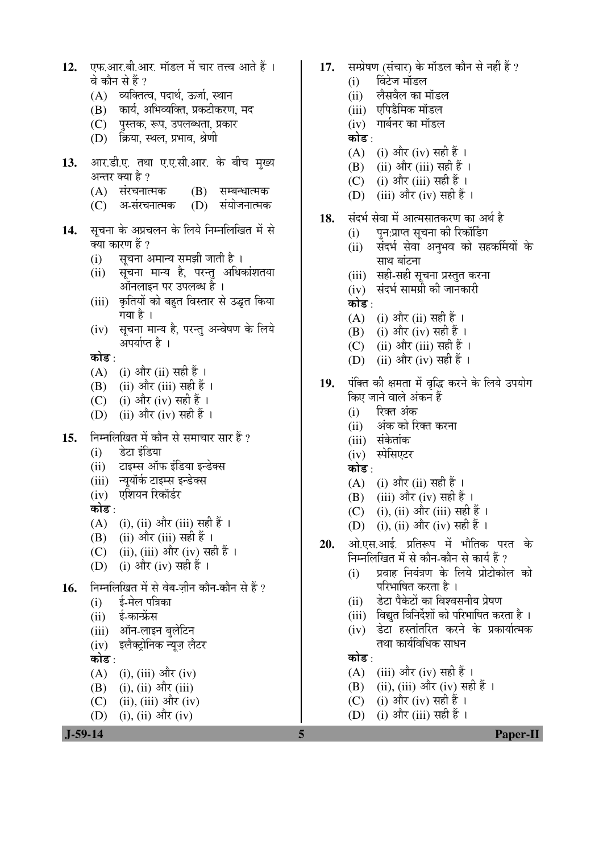| 12.       | एफ.आर.बी.आर. मॉडल में चार तत्त्व आते हैं ।      | 17. | सम्प्रेषण (संचार) के मॉडल कौन से नहीं हैं ?              |
|-----------|-------------------------------------------------|-----|----------------------------------------------------------|
|           | वे कौन से हैं ?                                 |     | विंटेज मॉडल<br>(i)                                       |
|           | (A) व्यक्तित्व, पदार्थ, ऊर्जा, स्थान            |     | लैसवैल का मॉडल<br>(ii)                                   |
|           | कार्य, अभिव्यक्ति, प्रकटीकरण, मद<br>(B)         |     | (iii) एपिडैमिक मॉडल                                      |
|           | (C) पुस्तक, रूप, उपलब्धता, प्रकार               |     | (iv) गार्बनर का मॉडल                                     |
|           | (D) क्रिया, स्थल, प्रभाव, श्रेणी                |     | कोड :                                                    |
|           |                                                 |     | (i) और (iv) सही हैं ।<br>(A)                             |
| 13.       | आर.डी.ए. तथा ए.ए.सी.आर. के बीच मुख्य            |     | (ii) और (iii) सही हैं ।<br>(B)                           |
|           | अन्तर क्या है ?                                 |     | (i) और (iii) सही हैं ।<br>(C)                            |
|           | (A) संरचनात्मक<br>(B)<br>सम्बन्धात्मक           |     | (iii) और (iv) सही हैं ।<br>(D)                           |
|           | (C) अ-संरचनात्मक<br>संयोजनात्मक<br>(D)          | 18. | संदर्भ सेवा में आत्मसातकरण का अर्थ है                    |
| 14.       | सूचना के अप्रचलन के लिये निम्नलिखित में से      |     |                                                          |
|           | क्या कारण हैं ?                                 |     | पुन:प्राप्त सूचना की रिकॉर्डिंग<br>(i)                   |
|           | सूचना अमान्य समझी जाती है ।<br>(i)              |     | संदर्भ सेवा अनुभव को सहर्कामयों के<br>(ii)<br>साथ बांटना |
|           | सूचना मान्य है, परन्तु अधिकांशतया<br>(ii)       |     |                                                          |
|           | ऑनलाइन पर उपलब्ध है ।                           |     | (iii) सही-सही सूचना प्रस्तुत करना                        |
|           | कृतियों को बहुत विस्तार से उद्धृत किया<br>(iii) |     | (iv) संदर्भ सामग्री की जानकारी<br>कोड :                  |
|           | गया है ।                                        |     |                                                          |
|           | सूचना मान्य है, परन्तु अन्वेषण के लिये<br>(iv)  |     | (i) और (ii) सही हैं ।<br>(A)                             |
|           | अपर्याप्त है ।                                  |     | (B) (i) और (iv) सही हैं ।                                |
|           | कोड :                                           |     | (ii) और (iii) सही हैं ।<br>(C)<br>(ii) और (iv) सही हैं । |
|           | (i) और (ii) सही हैं ।<br>(A)                    |     | (D)                                                      |
|           | (B) (ii) और (iii) सही हैं ।                     | 19. | पंक्ति की क्षमता में वृद्धि करने के लिये उपयोग           |
|           | (i) और (iv) सही हैं ।<br>(C)                    |     | किए जाने वाले अंकन हैं                                   |
|           | (ii) और (iv) सही हैं ।<br>(D)                   |     | रिक्त अंक<br>(i)                                         |
|           |                                                 |     | अंक को रिक्त करना<br>(ii)                                |
| 15.       | निम्नलिखित में कौन से समाचार सार हैं ?          |     | (iii) संकेतांक                                           |
|           | डेटा इंडिया<br>(i)                              |     | (iv) स्पेसिएटर                                           |
|           | टाइम्स ऑफ इंडिया इन्डेक्स<br>(ii)               |     | कोड :                                                    |
|           | न्यूयॉर्क टाइम्स इन्डेक्स<br>(iii)              |     | (i) और (ii) सही हैं ।<br>(A)                             |
|           | एशियन रिकॉर्डर<br>(iv)                          |     | (iii) और (iv) सही हैं ।<br>(B)                           |
|           | कोड :                                           |     | (i), (ii) और (iii) सही हैं ।<br>(C)                      |
|           | (i), (ii) और (iii) सही हैं ।<br>(A)             |     | (D) (i), (ii) और (iv) सही हैं ।                          |
|           | (ii) और (iii) सही हैं ।<br>(B)                  | 20. | ओ.एस.आई. प्रतिरूप में भौतिक परत के                       |
|           | (ii), (iii) और (iv) सही हैं ।<br>(C)            |     | निम्नलिखित में से कौन-कौन से कार्य हैं ?                 |
|           | (i) और (iv) सही हैं ।<br>(D)                    |     | प्रवाह नियंत्रण के लिये प्रोटोकोल को<br>(i)              |
| 16.       | निम्नलिखित में से वेब-ज़ीन कौन-कौन से हैं ?     |     | परिभाषित करता है ।                                       |
|           | ई-मेल पत्रिका<br>(i)                            |     | डेटा पैकेटों का विश्वसनीय प्रेषण<br>(ii)                 |
|           | ई-कान्फ्रेंस<br>(ii)                            |     | विद्युत विनिर्देशों को परिभाषित करता है ।<br>(iii)       |
|           | ऑन-लाइन बुलेटिन<br>(iii)                        |     | डेटा हस्तांतरित करने के प्रकार्यात्मक<br>(iv)            |
|           | (iv) इलैक्ट्रोनिक न्यूज़ लैटर                   |     | तथा कार्यविधिक साधन                                      |
|           | कोड :                                           |     | कोड :                                                    |
|           | (A)<br>(i), (iii) और (iv)                       |     | (iii) और (iv) सही हैं ।<br>(A)                           |
|           | $(i)$ , $(ii)$ और $(iii)$<br>(B)                |     | (ii), (iii) और (iv) सही हैं ।<br>(B)                     |
|           | $(ii), (iii)$ और $(iv)$<br>(C)                  |     | (i) और (iv) सही हैं ।<br>(C)                             |
|           | (i), (ii) और (iv)<br>(D)                        |     | (i) और (iii) सही हैं ।<br>(D)                            |
| $J-59-14$ |                                                 | 5   | <b>Paper-II</b>                                          |
|           |                                                 |     |                                                          |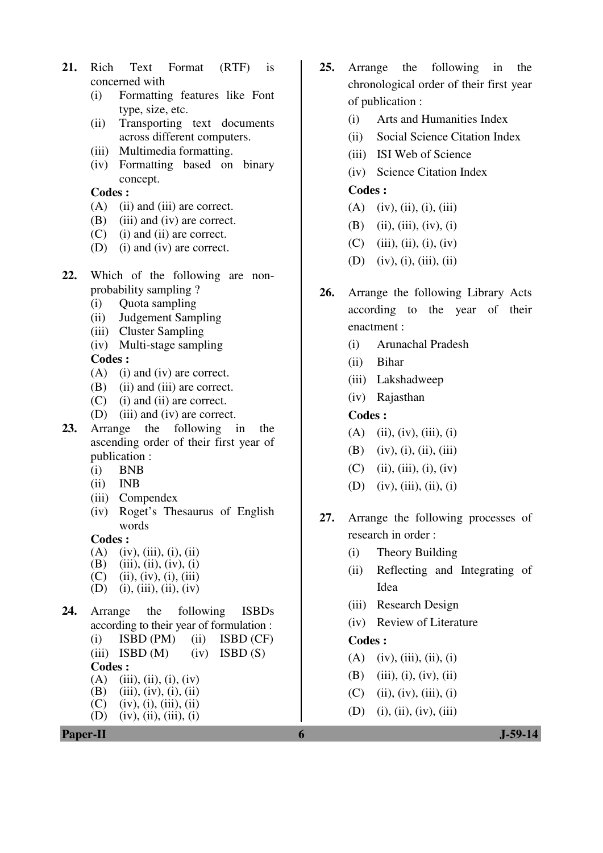- **21.** Rich Text Format (RTF) is concerned with
	- (i) Formatting features like Font type, size, etc.
	- (ii) Transporting text documents across different computers.
	- (iii) Multimedia formatting.
	- (iv) Formatting based on binary concept.

- (A) (ii) and (iii) are correct.
- (B) (iii) and (iv) are correct.
- (C) (i) and (ii) are correct.
- (D) (i) and (iv) are correct.
- **22.** Which of the following are nonprobability sampling ?
	- (i) Quota sampling
	- (ii) Judgement Sampling
	- (iii) Cluster Sampling
	- (iv) Multi-stage sampling

**Codes :** 

- (A) (i) and (iv) are correct.
- (B) (ii) and (iii) are correct.
- (C) (i) and (ii) are correct.
- (D) (iii) and (iv) are correct.
- **23.** Arrange the following in the ascending order of their first year of publication :
	- (i) BNB
	- (ii) INB
	- (iii) Compendex
	- (iv) Roget's Thesaurus of English words

#### **Codes :**

- $(A)$  (iv), (iii), (i), (ii)
- (B) (iii), (ii), (iv), (i)
- $(C)$  (ii), (iv), (i), (iii)
- (D) (i), (iii), (ii), (iv)
- **24.** Arrange the following ISBDs according to their year of formulation :  $(i)$  ISBD  $(PM)$   $(ii)$  ISBD  $(CF)$ 
	- (iii) ISBD  $(M)$  (iv) ISBD  $(S)$ **Codes :**  (A) (iii), (ii), (i), (iv)<br>(B) (iii), (iv), (i), (ii)
	- (B) (iii), (iv), (i), (ii)<br>(C) (iv), (i), (iii), (ii)
	- (C) (iv), (i), (iii), (ii)<br>(D) (iv), (ii), (iii), (i)  $(iv)$ ,  $(ii)$ ,  $(iii)$ ,  $(i)$



- **25.** Arrange the following in the chronological order of their first year of publication :
	- (i) Arts and Humanities Index
	- (ii) Social Science Citation Index
	- (iii) ISI Web of Science
	- (iv) Science Citation Index

#### **Codes :**

- $(A)$  (iv), (ii), (i), (iii)
- (B) (ii), (iii), (iv), (i)
- $(C)$  (iii), (ii), (i), (iv)
- $(D)$  (iv), (i), (iii), (ii)
- **26.** Arrange the following Library Acts according to the year of their enactment :
	- (i) Arunachal Pradesh
	- (ii) Bihar
	- (iii) Lakshadweep
	- (iv) Rajasthan

#### **Codes :**

- $(A)$  (ii), (iv), (iii), (i)
- (B) (iv), (i), (ii), (iii)
- $(C)$  (ii), (iii), (i), (iv)
- (D) (iv), (iii), (ii), (i)
- **27.** Arrange the following processes of research in order :
	- (i) Theory Building
	- (ii) Reflecting and Integrating of Idea
	- (iii) Research Design
	- (iv) Review of Literature

- $(A)$  (iv), (iii), (ii), (i)
- (B) (iii), (i), (iv), (ii)
- $(C)$  (ii), (iv), (iii), (i)
- $(D)$  (i), (ii), (iv), (iii)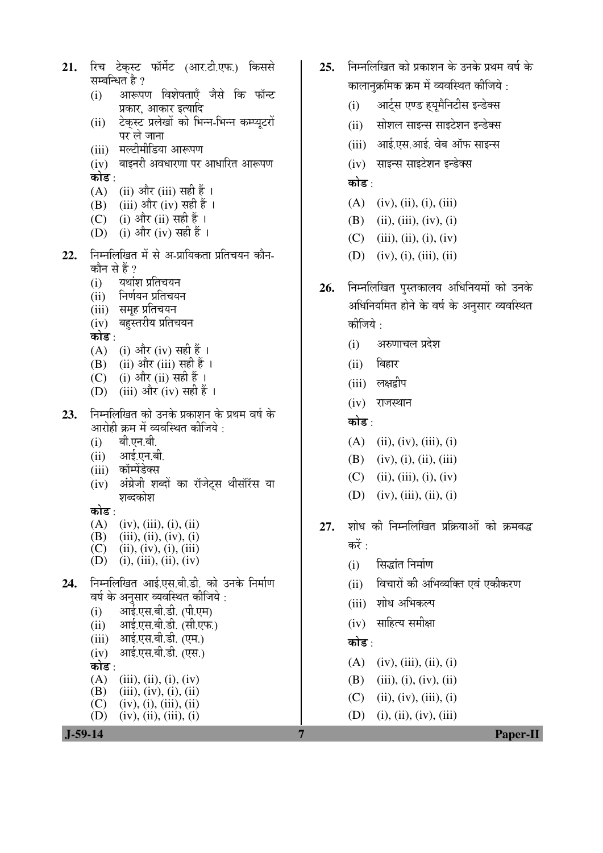- रिच टेकस्ट फॉर्मेट (आर.टी.एफ.) किससे  $21.$ सम्बन्धित है ? आरूपण विशेषताएँ जैसे कि फॉन्ट  $(i)$ 
	- प्रकार, आकार इत्यादि
	- टेकस्ट प्रलेखों को भिन्न-भिन्न कम्प्यूटरों  $(ii)$ पर ले जाना
	- (iii) मल्टीमीडिया आरूपण
	- $(iv)$  बाइनरी अवधारणा पर आधारित आरूपण कोड :
	- $(A)$  (ii) और (iii) सही हैं ।
	- (iii) और (iv) सही हैं । (B)
	- (C) (i) और (ii) सही हैं।
	- (D) (i) और (iv) सही हैं ।
- निम्नलिखित में से अ-प्रायिकता प्रतिचयन कौन- $22.$ कौन से हैं ?
	- यथांश प्रतिचयन  $(i)$
	- निर्णयन प्रतिचयन  $(i)$
	- (iii) समूह प्रतिचयन
	- (iv) बहुस्तरीय प्रतिचयन
	- कोड :
	- (A) (i) और (iv) सही हैं ।
	- (ii) और (iii) सही हैं । (B)
	- (i) और (ii) सही हैं ।  $(C)$
	- (iii) और (iv) सही हैं ।  $(D)$
- निम्नलिखित को उनके प्रकाशन के प्रथम वर्ष के 23. आरोही क्रम में व्यवस्थित कीजिये ·
	- बी.एन.बी.  $(i)$
	- आई.एन.बी.  $(ii)$
	- (iii) कॉम्पेंडेक्स
	- अंग्रेजी शब्दों का रॉजेटस थीसॉरॅस या  $(iv)$ शब्दकोश
	- कोड :
	- $(A)$  $(iv), (iii), (i), (ii)$
	- (B)  $(iii), (ii), (iv), (i)$
	- $(C)$  $(ii), (iv), (i), (iii)$
	- $(D)$  (i), (iii), (ii), (iv)
- निम्नलिखित आई.एस.बी.डी. को उनके निर्माण 24. वर्ष के अनुसार व्यवस्थित कीजिये :
	- आई.एस.बी.डी. (पी.एम)  $(i)$
	- आई.एस.बी.डी. (सी.एफ.)  $(ii)$
	- आई.एस.बी.डी. (एम.)  $(iii)$
	- आई.एस.बी.डी. (एस.)  $(iv)$
	- कोड∶
	- $(A)$  $(iii), (ii), (i), (iv)$ (B)  $(iii), (iv), (i), (ii)$
	- $\overline{C}$  $(iv), (i), (iii), (ii)$
	- (D)  $(iv)$ , (ii), (iii), (i)



- 25. निम्नलिखित को प्रकाशन के उनके प्रथम वर्ष के कालानक्रमिक क्रम में व्यवस्थित कीजिये :
	- आर्टस एण्ड हयुमैनिटीस इन्डेक्स  $(i)$
	- (ii) सोशल साइन्स साइटेशन इन्डेक्स
	- (iii) आई.एस.आई. वेब ऑफ साइन्स
	- (iv) साइन्स साइटेशन इन्डेक्स

## कोड $\cdot$

- $(A)$  (iv), (ii), (i), (iii)
- $(B)$  (ii), (iii), (iv), (i)
- $(C)$  (iii), (ii), (i), (iv)
- (D) (iv), (i), (iii), (ii)
- निम्नलिखित पुस्तकालय अधिनियमों को उनके 26. अधिनियमित होने के वर्ष के अनुसार व्यवस्थित कीजिये :
	- अरुणाचल प्रदेश  $(i)$
	- $(ii)$  बिहार
	- (iii) लक्षद्वीप
	- $(iv)$  राजस्थान

## कोड :

- $(A)$  (ii), (iv), (iii), (i)
- $(B)$  (iv), (i), (ii), (iii)
- $(C)$  (ii), (iii), (i), (iv)
- (D) (iv), (iii), (ii), (i)
- शोध की निम्नलिखित प्रक्रियाओं को क्रमबद्ध 27. करें :
	- सिद्धांत निर्माण  $(i)$
	- (ii) विचारों की अभिव्यक्ति एवं एकीकरण
	- (iii) शोध अभिकल्प
	- $(iv)$  साहित्य समीक्षा

## कोड़⊹

- $(A)$  (iv), (iii), (ii), (i)
- $(B)$  (iii), (i), (iv), (ii)
- $(C)$  (ii), (iv), (iii), (i)
- $(D)$  (i), (ii), (iv), (iii)

**Paper-II**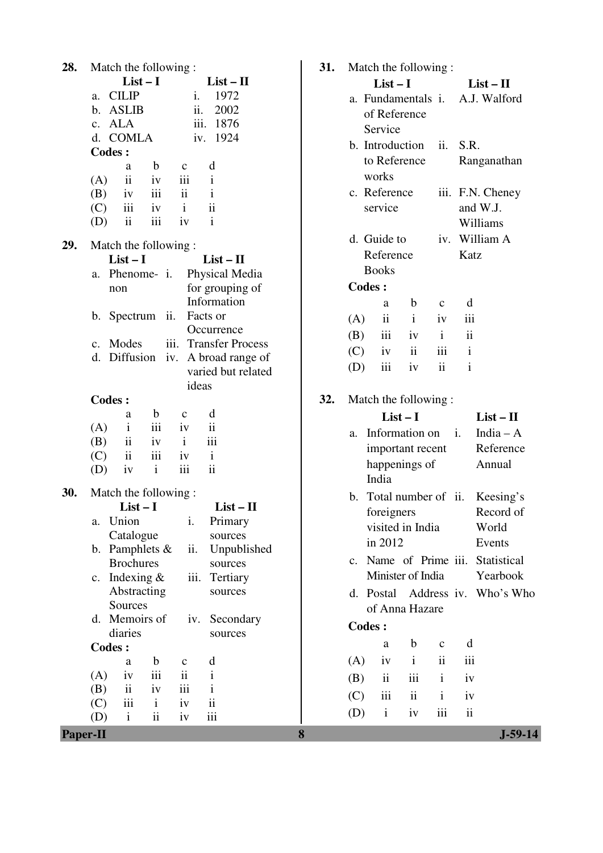| 28. | Match the following:                                        |   |
|-----|-------------------------------------------------------------|---|
|     | $List-I$<br>$List-II$                                       |   |
|     | <b>CILIP</b><br>1972<br>i.<br>a.                            |   |
|     | ii.<br>b. ASLIB<br>2002                                     |   |
|     | c. ALA<br>iii. 1876                                         |   |
|     | iv. 1924<br>d. COMLA                                        |   |
|     | <b>Codes:</b>                                               |   |
|     | $\mathbf b$<br>d<br>a<br>$\mathbf{c}$                       |   |
|     | $\ddot{\rm n}$<br>$\mathbf{i}$<br>iv<br>iii<br>(A)          |   |
|     | $(B)$ iv<br>iii<br>$\overline{\mathbf{u}}$<br>$\mathbf{1}$  |   |
|     | iii iv i<br>$\mathbf{ii}$<br>(C)                            |   |
|     | $(D)$ ii<br>iii<br>$\mathbf{i}$<br>iv                       |   |
|     |                                                             |   |
| 29. | Match the following:                                        |   |
|     | $List-I$<br>$List - II$                                     |   |
|     | Physical Media<br>Phenome- <i>i</i> .<br>a.                 |   |
|     | for grouping of<br>non                                      |   |
|     | Information                                                 |   |
|     | ii.<br>b. Spectrum<br>Facts or                              |   |
|     | Occurrence                                                  |   |
|     | iii. Transfer Process<br>c. Modes                           |   |
|     | d. Diffusion<br>A broad range of<br>iv.                     |   |
|     | varied but related                                          |   |
|     | ideas                                                       |   |
|     | <b>Codes:</b>                                               |   |
|     | d<br>$\mathbf b$<br>$\mathbf{c}$<br>a                       |   |
|     | iii<br>$\mathbf{i}$<br>ii<br>(A)<br>iv                      |   |
|     | $\rm ii$<br>iii<br>$\mathbf{i}$<br>(B)<br>iv                |   |
|     | $\overline{\mathbf{u}}$<br>(C)<br>$\mathbf{i}$<br>iii<br>iv |   |
|     | $\ddot{\mathbf{i}}$<br>$(D)$ iv<br>i<br>iii                 |   |
| 30. | Match the following:                                        |   |
|     | $List-I$<br>$List-II$                                       |   |
|     | Union<br>Primary<br>i.<br>a.                                |   |
|     | Catalogue<br>sources                                        |   |
|     | Pamphlets &<br>ii.<br>Unpublished<br>b.                     |   |
|     | <b>Brochures</b><br>sources                                 |   |
|     | Indexing $&$<br>iii.<br>Tertiary<br>$\rm c.$                |   |
|     | Abstracting<br>sources                                      |   |
|     | Sources                                                     |   |
|     | Memoirs of<br>Secondary<br>d.<br>iv.                        |   |
|     | diaries<br>sources                                          |   |
|     | <b>Codes:</b>                                               |   |
|     | $\mathbf b$<br>d<br>a<br>$\mathbf c$                        |   |
|     | $\ddot{\rm n}$<br>iii<br>$\mathbf{i}$<br>(A)<br>iv          |   |
|     | $\mathbf{ii}$<br>iii<br>$\mathbf{i}$<br>(B)<br>iv           |   |
|     | iii<br>ii<br>$\mathbf{i}$<br>iv<br>(C)                      |   |
|     | iii<br>$\mathbf{i}$<br>(D)<br>ii<br>iv                      |   |
|     | <b>Paper-II</b>                                             | 8 |

| 31. |                | Match the following:          |              |                   |                          |                                  |
|-----|----------------|-------------------------------|--------------|-------------------|--------------------------|----------------------------------|
|     |                | $List-I$                      |              |                   |                          | $List-II$                        |
|     |                |                               |              |                   |                          | a. Fundamentals i. A.J. Walford  |
|     |                | of Reference                  |              |                   |                          |                                  |
|     |                | Service                       |              |                   |                          |                                  |
|     |                | b. Introduction               |              | ii.               | S.R.                     |                                  |
|     |                | to Reference                  |              |                   |                          | Ranganathan                      |
|     |                | works                         |              |                   |                          |                                  |
|     |                | c. Reference                  |              |                   |                          | iii. F.N. Cheney                 |
|     |                | service                       |              |                   |                          | and W.J.                         |
|     |                |                               |              |                   |                          | Williams                         |
|     |                | d. Guide to                   |              |                   |                          | iv. William A                    |
|     |                | Reference<br><b>Books</b>     |              |                   | Katz                     |                                  |
|     |                |                               |              |                   |                          |                                  |
|     |                | <b>Codes:</b>                 | b            |                   |                          |                                  |
|     |                | a<br>$\overline{\mathbf{ii}}$ | $\mathbf{i}$ | $\mathbf c$<br>iv | d<br>iii                 |                                  |
|     | (A)            | $(B)$ iii iv                  |              | $\mathbf{i}$      | ii                       |                                  |
|     |                | $(C)$ iv ii                   |              | iii               | $\mathbf{i}$             |                                  |
|     |                | $(D)$ iii                     | iv           | ii                | $\mathbf{i}$             |                                  |
|     |                |                               |              |                   |                          |                                  |
| 32. |                | Match the following:          |              |                   |                          |                                  |
|     |                |                               | $List-I$     |                   |                          | $List - II$                      |
|     | a.             | Information on <i>i</i> .     |              |                   |                          | India $- A$                      |
|     |                | important recent              |              |                   |                          | Reference                        |
|     |                | happenings of                 |              |                   |                          | Annual                           |
|     |                | India                         |              |                   |                          |                                  |
|     |                |                               |              |                   |                          | b. Total number of ii. Keesing's |
|     |                | foreigners                    |              |                   |                          | Record of                        |
|     |                | visited in India              |              |                   |                          | World                            |
|     |                | in 2012                       |              |                   |                          | Events                           |
|     | $\mathbf{c}$ . |                               |              |                   |                          | Name of Prime iii. Statistical   |
|     |                | Minister of India             |              |                   |                          | Yearbook                         |
|     |                |                               |              |                   |                          | d. Postal Address iv. Who's Who  |
|     |                | of Anna Hazare                |              |                   |                          |                                  |
|     |                | <b>Codes:</b>                 |              |                   |                          |                                  |
|     |                | a                             | b            | $\mathbf c$       | d                        |                                  |
|     | (A)            | iv                            | $\mathbf{i}$ | ii                | iii                      |                                  |
|     |                | $(B)$ ii                      | iii i iv     |                   |                          |                                  |
|     | (C)            |                               | iii ii i iv  |                   |                          |                                  |
|     |                | $(D)$ i                       | iv           | iii               | $\overline{\mathbf{ii}}$ |                                  |
|     |                |                               |              |                   |                          |                                  |
|     |                |                               |              |                   |                          | $J-59-14$                        |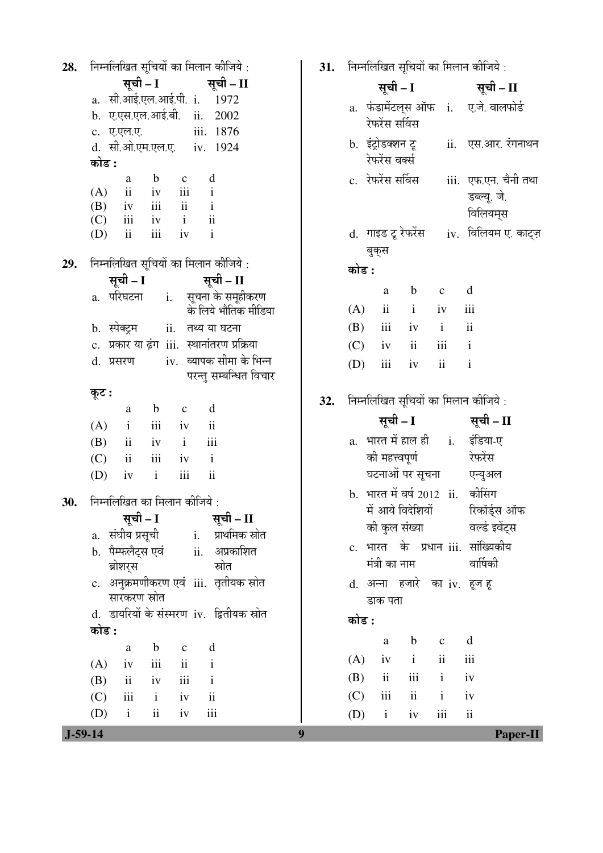निम्नलिखित सुचियों का मिलान कीजिये : 28. सूची – I सूची – II a. सी.आई.एल.आई.पी. i. 1972 b. ए.एस.एल.आई.बी. ii. 2002 iii. 1876 c. ए.एल.ए. d. सी.ओ.एम.एल.ए. iv. 1924 कोड :  $\mathbf b$  $\mathbf{c}$ d a  $(A)$ iii  $\overline{\textbf{ii}}$ iv  $\mathbf{i}$  $\mathbf{i}$ (B)  $iv$ iii  $\overline{\mathbf{i}}$  $(C)$ iii  $iv$  $\mathbf{i}$  $\overline{\mathbf{u}}$  $(D)$ iii  $iv$  $\mathbf{i}$  $\mathbf{ii}$ निम्नलिखित सूचियों का मिलान कीजिये : 29. सूची – I सूची – II सूचना के समूहीकरण a. परिघटना  $i$ . के लिये भौतिक मीडिया b. स्पेक्ट्रम ii. तथ्य या घटना c. प्रकार या ढंग iii. स्थानांतरण प्रक्रिया iv. व्यापक सीमा के भिन्न d. प्रसरण परन्तु सम्बन्धित विचार कूट :  $\mathbf b$  $\rm{a}$  $\mathbf c$ d  $(A)$  $\mathbf{i}$  $iii$  $iv$  $\overline{\mathbf{i}}$  $(B)$  $\overline{\mathbf{u}}$  $\mathbf{i}$  $iv$ iii  $(C)$  $ii$ iii iv  $\mathbf{i}$ (D) iv  $\mathbf{i}$ iii  $\overline{\mathbf{u}}$ 30. निम्नलिखित का मिलान कीजिये : सूची – I सूची – II a. संघीय प्रसूची प्राथमिक स्रोत  $i$ . अप्रकाशित b. पैम्फलैट्स एवं  $ii.$ ब्रोशरस स्रोत c. अनुक्रमणीकरण एवं iii. तृतीयक स्रोत सारकरण स्रोत d. डायरियों के संस्मरण iv. द्वितीयक स्रोत कोड :  $\mathbf b$  $\mathrm{d}% \left\| \mathbf{G}\right\| ^{2}$  $\mathbf{a}$  $\mathbf c$  $(A)$ iv  $\mathbf{i}$ iii  $\mathbf{ii}$ (B)  $ii$  $iv$ iii  $\mathbf{i}$  $(C)$ iii  $\mathbf{i}$  $iv$  $\overline{\mathbf{ii}}$  $(D)$  $\mathbf{i}$  $\mathbf{ii}$  $iv$ iii

 $31.$  निम्नलिखित सचियों का मिलान कीजिये  $\cdot$ 

|       |                                     |              |                         | . פויוויפ דוויות ויפוין ויפוין, ויפוויות ו        |
|-------|-------------------------------------|--------------|-------------------------|---------------------------------------------------|
|       | सूची – I                            |              |                         | सूची – II                                         |
|       | रेफरेंस सर्विस                      |              |                         | a. फंडामेंटल्स ऑफ i. ए.जे. वालफोर्ड               |
|       | b. इंट्रोडक्शन टू<br>रेफरेंस वर्क्स |              |                         | ii. एस.आर. रंगनाथन                                |
|       | c. रेफरेंस सर्विस                   |              |                         | iii.  एफ.एन. चैनी तथा<br>डब्ल्यू. जे.<br>विलियम्स |
|       | बुक्स                               |              |                         | d.  गाइड टू रेफरेंस      iv.  विलियम ए. काट्ज़    |
| कोड : |                                     |              |                         |                                                   |
|       | a                                   | $\mathbf{b}$ | $\mathbf{C}$            | $\mathbf d$                                       |
|       | $(A)$ ii                            | $\mathbf{i}$ | iv iii                  |                                                   |
|       | $(B)$ iii iv i                      |              |                         | $\overline{\mathbf{u}}$                           |
|       | $(C)$ iv ii                         |              | iii i                   |                                                   |
|       | $(D)$ iii iv                        |              | $\overline{\mathbf{u}}$ | $\mathbf{i}$                                      |
|       | सूची – I                            |              |                         | निम्नलिखित सूचियों का मिलान कीजिये:<br>सूची – II  |
|       |                                     |              |                         | भारत में हाल ही      i.     इंडिया-ए              |
| a.    | की महत्त्वपूर्ण                     |              |                         | रेफरेंस                                           |
|       |                                     |              |                         | घटनाओं पर सूचना एन्युअल                           |
|       |                                     |              |                         | b. भारत में वर्ष 2012 ii. कीसिंग                  |
|       | में आये विदेशियों                   |              |                         | रिकॉर्ड्स ऑफ                                      |
|       | की कुल संख्या                       |              |                         | वर्ल्ड इवेंट्स                                    |
|       |                                     |              |                         | c. भारत के प्रधान iii. सांख्यिकीय                 |
|       | मंत्री का नाम                       |              |                         | वार्षिकी                                          |
|       |                                     |              |                         | d. अन्ना हजारे का iv. हूज हू                      |
|       | डाक पता                             |              |                         |                                                   |
| कोड : |                                     |              |                         |                                                   |
|       | a                                   |              | b c d                   |                                                   |
|       | $(A)$ iv i ii                       |              |                         | iii                                               |
|       | $(B)$ ii iii i iv                   |              |                         |                                                   |
|       | $(C)$ iii ii iv                     |              |                         |                                                   |
|       | $(D)$ i iv iii ii                   |              |                         |                                                   |

32.

9

 $J-59-14$ 

Paper-II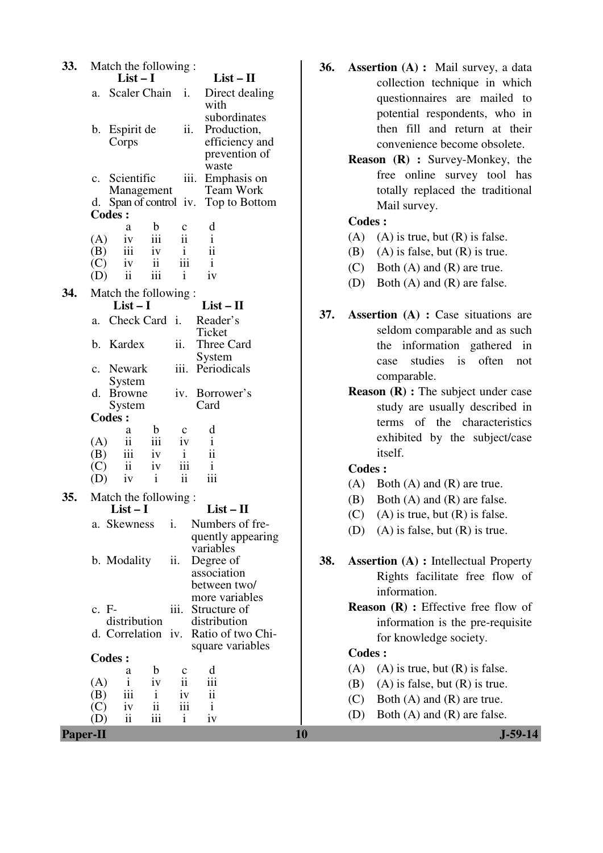| 33.             | Match the following:                                                                       | 36. | <b>Assertion (A) :</b> Mail survey, a data   |
|-----------------|--------------------------------------------------------------------------------------------|-----|----------------------------------------------|
|                 | $List - II$<br>$List-I$                                                                    |     | collection technique in which                |
|                 | Direct dealing<br>Scaler Chain i.<br>a.<br>with                                            |     | questionnaires are mailed to                 |
|                 | subordinates                                                                               |     | potential respondents, who in                |
|                 | Production,<br>b. Espirit de<br>ii.                                                        |     | then fill and return at their                |
|                 | efficiency and<br>Corps                                                                    |     | convenience become obsolete.                 |
|                 | prevention of<br>waste                                                                     |     | Reason (R) : Survey-Monkey, the              |
|                 | iii. Emphasis on<br>Scientific<br>$\mathbf{c}$ .                                           |     | free online survey tool has                  |
|                 | <b>Team Work</b><br>Management                                                             |     | totally replaced the traditional             |
|                 | d. Span of control iv.<br>Top to Bottom                                                    |     | Mail survey.                                 |
|                 | Codes :                                                                                    |     | <b>Codes:</b>                                |
|                 | $\mathbf b$<br>d<br>c<br>a<br>$\ddot{\rm ii}$<br>iii<br>$\mathbf{i}$<br>(A)<br>iv          |     | (A)<br>$(A)$ is true, but $(R)$ is false.    |
|                 | $\ddot{\rm ii}$<br>iii<br>(B)<br>iv<br>$\mathbf{i}$                                        |     | $(A)$ is false, but $(R)$ is true.<br>(B)    |
|                 | iii<br>$\mathbf{ii}$<br>(C)<br>iv<br>$\mathbf{1}$                                          |     | Both $(A)$ and $(R)$ are true.<br>(C)        |
|                 | iii<br>ii<br>$\mathbf{i}$<br>iv<br>(D)                                                     |     | Both $(A)$ and $(R)$ are false.<br>(D)       |
| 34.             | Match the following:                                                                       |     |                                              |
|                 | $List-I$<br>$List - II$                                                                    | 37. | <b>Assertion</b> (A) : Case situations are   |
|                 | Check Card i.<br>Reader's<br>a.<br>Ticket                                                  |     | seldom comparable and as such                |
|                 | b. Kardex<br>ii.<br>Three Card                                                             |     | the information gathered in                  |
|                 | System                                                                                     |     | studies<br>often<br>is<br>not<br>case        |
|                 | iii. Periodicals<br>c. Newark                                                              |     | comparable.                                  |
|                 | System<br>iv. Borrower's<br>d. Browne                                                      |     | <b>Reason (R)</b> : The subject under case   |
|                 | System<br>Card                                                                             |     | study are usually described in               |
|                 | <b>Codes:</b>                                                                              |     | terms of the characteristics                 |
|                 | d<br>$\mathbf b$<br>$\mathbf c$<br>a                                                       |     | exhibited by the subject/case                |
|                 | ii<br>iii<br>(A)<br>$\mathbf{i}$<br>iv<br>iii<br>iv<br>(B)<br>$\mathbf{i}$<br>11           |     | itself.                                      |
|                 | $\overline{\mathbf{ii}}$<br>iii<br>$\mathbf{i}$<br>(C)<br>iv                               |     | <b>Codes:</b>                                |
|                 | iii<br>$\overline{\textbf{ii}}$<br>$\mathbf{i}$<br>iv<br>(D)                               |     | (A)<br>Both $(A)$ and $(R)$ are true.        |
| 35.             | Match the following:                                                                       |     | Both $(A)$ and $(R)$ are false.<br>(B)       |
|                 | List $-1$<br>List – H                                                                      |     | $(A)$ is true, but $(R)$ is false.<br>(C)    |
|                 | Numbers of fre-<br>a. Skewness<br>i.                                                       |     | $(A)$ is false, but $(R)$ is true.<br>(D)    |
|                 | quently appearing                                                                          |     |                                              |
|                 | variables<br>b. Modality<br>ii.<br>Degree of                                               | 38. | <b>Assertion (A) : Intellectual Property</b> |
|                 | association                                                                                |     | Rights facilitate free flow of               |
|                 | between two/                                                                               |     | information.                                 |
|                 | more variables                                                                             |     | <b>Reason</b> $(R)$ : Effective free flow of |
|                 | c. F-<br>Structure of<br>iii.<br>distribution<br>distribution                              |     | information is the pre-requisite             |
|                 | d. Correlation iv. Ratio of two Chi-                                                       |     | for knowledge society.                       |
|                 | square variables                                                                           |     | <b>Codes:</b>                                |
|                 | <b>Codes:</b>                                                                              |     | (A)<br>$(A)$ is true, but $(R)$ is false.    |
|                 | d<br>b<br>a<br>$\mathbf c$<br>$\overline{\textbf{ii}}$<br>iii<br>iv<br>(A)<br>$\mathbf{i}$ |     | $(A)$ is false, but $(R)$ is true.<br>(B)    |
|                 | iii<br>$\overline{\textbf{ii}}$<br>$\mathbf{i}$<br>(B)<br>iv                               |     | Both $(A)$ and $(R)$ are true.<br>(C)        |
|                 | iii<br>$\overline{\mathbf{ii}}$<br>(C)<br>iv<br>$\mathbf{i}$                               |     | Both $(A)$ and $(R)$ are false.<br>(D)       |
|                 | ii<br>iii<br>$\mathbf{i}$<br>iv<br>(D)                                                     |     |                                              |
| <b>Paper-II</b> |                                                                                            | 10  | $J-59-14$                                    |

- **36. Assertion (A) :** Mail survey, a data collection technique in which questionnaires are mailed to potential respondents, who in then fill and return at their convenience become obsolete.
	- **Reason (R) :** Survey-Monkey, the free online survey tool has totally replaced the traditional Mail survey.

- (A) (A) is true, but  $(R)$  is false.
- (B) (A) is false, but  $(R)$  is true.
- (C) Both (A) and (R) are true.
- (D) Both (A) and (R) are false.
- **37. Assertion (A) :** Case situations are seldom comparable and as such the information gathered in case studies is often not comparable.
	- **Reason (R) :** The subject under case study are usually described in terms of the characteristics exhibited by the subject/case itself.

### **Codes :**

- (A) Both (A) and (R) are true.
- (B) Both (A) and (R) are false.
- (C) (A) is true, but  $(R)$  is false.
- (D) (A) is false, but (R) is true.
- **38. Assertion (A) :** Intellectual Property Rights facilitate free flow of information.
	- **Reason (R) :** Effective free flow of information is the pre-requisite for knowledge society.

- (A) (A) is true, but  $(R)$  is false.
- (B) (A) is false, but  $(R)$  is true.
- (C) Both (A) and (R) are true.
- (D) Both (A) and (R) are false.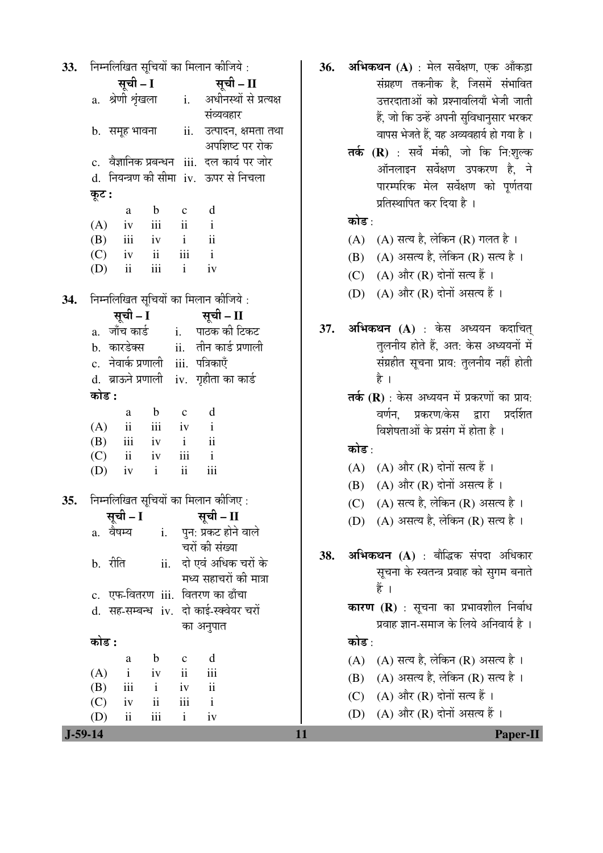| a. श्रेणी शृंखला     i.   अधीनस्थों से प्रत्यक्ष             |
|--------------------------------------------------------------|
|                                                              |
| ii. उत्पादन, क्षमता तथा                                      |
|                                                              |
|                                                              |
|                                                              |
|                                                              |
|                                                              |
|                                                              |
|                                                              |
|                                                              |
|                                                              |
|                                                              |
|                                                              |
|                                                              |
|                                                              |
|                                                              |
|                                                              |
|                                                              |
|                                                              |
|                                                              |
|                                                              |
|                                                              |
|                                                              |
|                                                              |
|                                                              |
|                                                              |
|                                                              |
|                                                              |
|                                                              |
|                                                              |
|                                                              |
|                                                              |
|                                                              |
|                                                              |
|                                                              |
|                                                              |
|                                                              |
|                                                              |
|                                                              |
|                                                              |
|                                                              |
| अपशिष्ट पर रोक<br>c. वैज्ञानिक प्रबन्धन iii. दल कार्य पर जोर |

- अभिकथन (A) : मेल सर्वेक्षण, एक आँकडा  $36.$ संग्रहण तकनीक है. जिसमें संभावित उत्तरदाताओं को प्रश्नावलियाँ भेजी जाती हैं, जो कि उन्हें अपनी सुविधानसार भरकर वापस भेजते हैं. यह अव्यवहार्य हो गया है।
	- तर्क (R) : सर्वे मंकी, जो कि नि:शुल्क ऑनलाइन सर्वेक्षण उपकरण है, ने पारम्परिक मेल सर्वेक्षण को पर्णतया प्रतिस्थापित कर दिया है ।

## कोड $\cdot$

- (A) (A) सत्य है, लेकिन (R) गलत है।
- (B) (A) असत्य है. लेकिन (R) सत्य है।
- (C) (A) और (R) दोनों सत्य हैं ।
- (D) (A) और (R) दोनों असत्य हैं।
- अभिकथन (A) : केस अध्ययन कदाचित्  $37.$ तुलनीय होते हैं, अत: केस अध्ययनों में संग्रहीत सूचना प्राय: तुलनीय नहीं होती है ।
	- तर्क  $(R)$ : केस अध्ययन में प्रकरणों का प्राय: वर्णन. प्रकरण/केस द्वारा प्रदर्शित विशेषताओं के प्रसंग में होता है ।

## कोड $\cdot$

- $(A)$   $(A)$  और  $(R)$  दोनों सत्य हैं।
- $(B)$   $(A)$  और  $(R)$  दोनों असत्य हैं।
- (C) (A) सत्य है, लेकिन (R) असत्य है।
- (D) (A) असत्य है, लेकिन (R) सत्य है।
- अभिकथन (A) : बौद्धिक संपदा अधिकार 38. सूचना के स्वतन्त्र प्रवाह को सुगम बनाते हैं ।
	- कारण (R) : सूचना का प्रभावशील निर्बाध प्रवाह ज्ञान-समाज के लिये अनिवार्य है ।

## कोड :

11

- (A) (A) सत्य है. लेकिन (R) असत्य है।
- (B) (A) असत्य है, लेकिन (R) सत्य है।
- (C)  $(A)$  और  $(R)$  दोनों सत्य हैं।
- (D)  $(A)$  और  $(R)$  दोनों असत्य हैं।

 $J-59-14$ 

Paper-II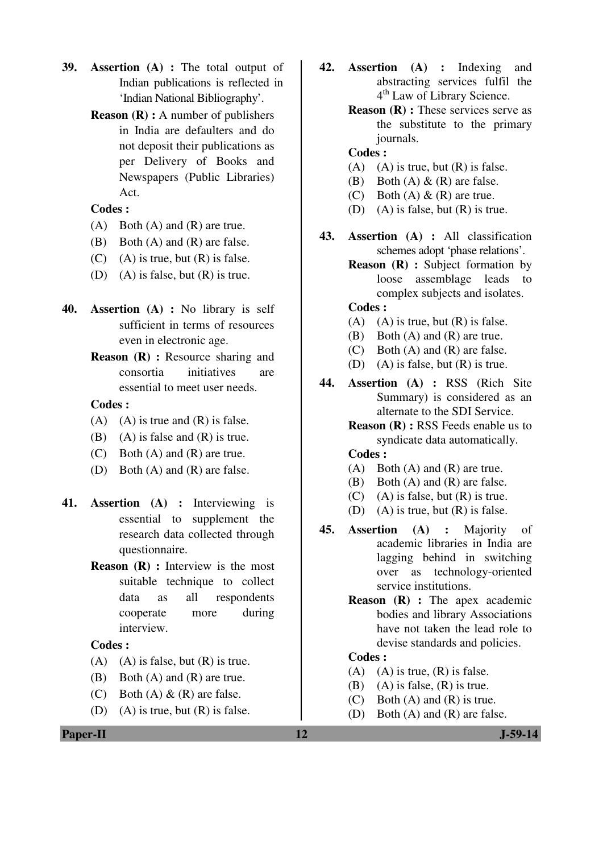- **39. Assertion (A) :** The total output of Indian publications is reflected in 'Indian National Bibliography'.
	- **Reason (R) :** A number of publishers in India are defaulters and do not deposit their publications as per Delivery of Books and Newspapers (Public Libraries) Act.

- $(A)$  Both  $(A)$  and  $(R)$  are true.
- (B) Both (A) and (R) are false.
- $(C)$  (A) is true, but  $(R)$  is false.
- (D) (A) is false, but (R) is true.
- **40. Assertion (A) :** No library is self sufficient in terms of resources even in electronic age.
	- **Reason (R) : Resource sharing and** consortia initiatives are essential to meet user needs.

## **Codes :**

- $(A)$   $(A)$  is true and  $(R)$  is false.
- (B) (A) is false and  $(R)$  is true.
- (C) Both (A) and (R) are true.
- (D) Both (A) and (R) are false.
- **41. Assertion (A) :** Interviewing is essential to supplement the research data collected through questionnaire.
	- **Reason (R) :** Interview is the most suitable technique to collect data as all respondents cooperate more during interview.

### **Codes :**

- $(A)$  (A) is false, but  $(R)$  is true.
- (B) Both (A) and (R) are true.
- (C) Both  $(A) \& R$  are false.
- (D) (A) is true, but  $(R)$  is false.
- **42. Assertion (A) :** Indexing and abstracting services fulfil the 4 th Law of Library Science.
	- **Reason (R) :** These services serve as the substitute to the primary journals.

## **Codes :**

- (A) (A) is true, but  $(R)$  is false.
- (B) Both  $(A) \& R$  are false.
- (C) Both  $(A) \& R$  are true.
- (D) (A) is false, but (R) is true.
- **43. Assertion (A) :** All classification schemes adopt 'phase relations'.
	- **Reason (R) :** Subject formation by loose assemblage leads to complex subjects and isolates.

## **Codes :**

- (A) (A) is true, but  $(R)$  is false.
- (B) Both (A) and (R) are true.
- (C) Both (A) and (R) are false.
- (D) (A) is false, but (R) is true.
- **44. Assertion (A) :** RSS (Rich Site Summary) is considered as an alternate to the SDI Service.
	- **Reason (R) :** RSS Feeds enable us to syndicate data automatically.

### **Codes :**

- (A) Both (A) and (R) are true.
- (B) Both (A) and (R) are false.
- $(C)$  (A) is false, but  $(R)$  is true.
- (D) (A) is true, but  $(R)$  is false.
- **45. Assertion (A) :** Majority of academic libraries in India are lagging behind in switching over as technology-oriented service institutions.
	- **Reason (R) :** The apex academic bodies and library Associations have not taken the lead role to devise standards and policies.

- (A) (A) is true,  $(R)$  is false.
- (B) (A) is false,  $(R)$  is true.
- (C) Both (A) and (R) is true.
- (D) Both (A) and (R) are false.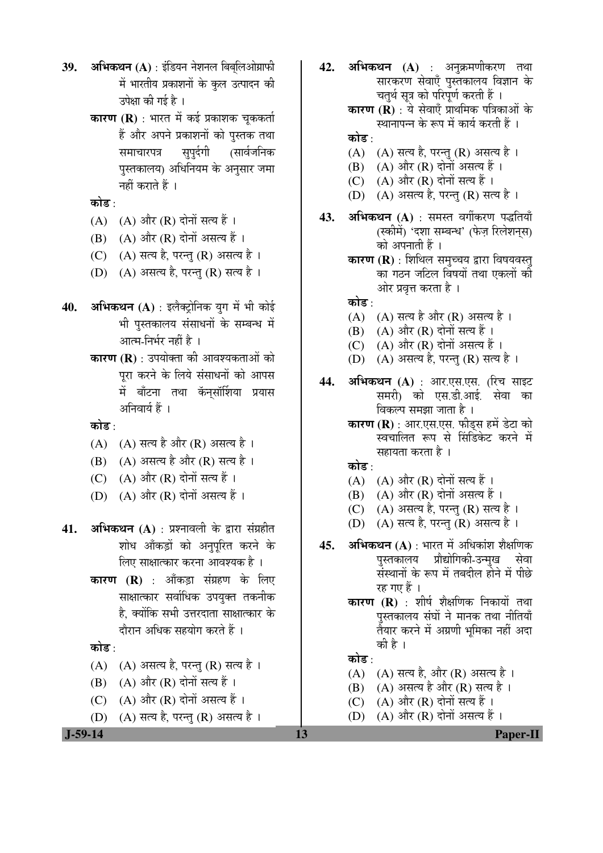- 39. **अभिकथन** (A) : इंडियन नेशनल बिबुलिओग्राफी में भारतीय प्रकाशनों के कुल उत्पादन की उपेक्षा की गई है ।
	- **कारण (R)** : भारत में कई प्रकाशक चककर्ता हैं और अपने प्रकाशनों को पुस्तक तथा समाचारपत्र सुपुर्दगी (सार्वजनिक पुस्तकालय) अधिनियम के अनुसार जमा नहीं कराते हैं ।

कोड :

- $(A)$   $(A)$  और  $(R)$  दोनों सत्य हैं।
- $(B)$   $(A)$  और  $(R)$  दोनों असत्य हैं।
- (C)  $(A)$  सत्य है, परन्तु (R) असत्य है।
- $(D)$   $(A)$  असत्य है, परन्तु  $(R)$  सत्य है।
- **40. अभिकथन (A)** : इलैक्ट्रोनिक युग में भी कोई भी पस्तकालय संसाधनों के सम्बन्ध में आत्म-निर्भर नहीं है ।
	- **कारण (R)** : उपयोक्ता की आवश्यकताओं को पुरा करने के लिये संसाधनों को आपस में बाँटना तथा कॅन्सॉर्शिया प्रयास अनिवार्य हैं ।

कोड :

- $(A)$   $(A)$  सत्य है और  $(R)$  असत्य है ।
- (B) (A) असत्य है और (R) सत्य है।
- (C)  $(A)$  और  $(R)$  दोनों सत्य हैं।
- (D)  $(A)$  और  $(R)$  दोनों असत्य हैं।
- **41. अभिकथन (A)** : प्रश्नावली के द्वारा संग्रहीत शोध आँकड़ों को अनुपूरित करने के लिए साक्षात्कार करना आवश्यक है ।
	- **कारण (R)** : आँकड़ा संग्रहण के लिए साक्षात्कार सर्वाधिक उपयुक्त तकनीक है. क्योंकि सभी उत्तरदाता साक्षात्कार के दौरान अधिक सहयोग करते हैं ।

#### कोड :

- $(A)$   $(A)$  असत्य है, परन्तु  $(R)$  सत्य है।
- $(B)$   $(A)$  और  $(R)$  दोनों सत्य हैं।
- (C)  $(A)$  और  $(R)$  दोनों असत्य हैं।
- (D)  $(A)$  सत्य है, परन्तु (R) असत्य है।
- **42. अभिकथन (A)** : अनक्रमणीकरण तथा सारकरण सेवाएँ पुस्तकालय विज्ञान के चतर्थ सत्र को परिपूर्ण करती हैं । **कारण (R)** : ये सेवाएँ प्राथमिक पत्रिकाओं के स्थानापन्न के रूप में कार्य करती हैं । कोड :  $(A)$   $(A)$  सत्य है, परन्तु  $(R)$  असत्य है।  $(B)$   $(A)$  और  $(R)$  दोनों असत्य हैं। (C)  $(A)$  और  $(R)$  दोनों सत्य हैं ।  $(D)$   $(A)$  असत्य है, परन्तु  $(R)$  सत्य है। 43. **अभिकथन (A)** : समस्त वर्गीकरण पद्धतियाँ (स्कीमें) 'दशा सम्बन्ध' (फेज़ रिलेशनस) को अपनाती हैं । **कारण (R)** : शिथिल समुच्चय द्वारा विषयवस्त् का गठन जटिल विषयों तथा एकलों को ओर प्रवृत्त करता है । कोड :  $(A)$   $(A)$  सत्य है और  $(R)$  असत्य है ।  $(B)$   $(A)$  और  $(R)$  दोनों सत्य हैं। (C)  $(A)$  और  $(R)$  दोनों असत्य हैं।
	- $(D)$   $(A)$  असत्य है, परन्तु  $(R)$  सत्य है ।
- **44. अभिकथन (A)** : आर.एस.एस. (रिच साइट समरी) को एस.डी.आई. सेवा का विकल्प समझा जाता है ।
	- **कारण (R)** : आर.एस.एस. फीड्स हमें डेटा को स्वचालित रूप से सिंडिकेट करने में सहायता करता है ।

कोड $\,\cdot\,$ 

- (A) (A) और (R) दोनों सत्य हैं।
- $(B)$   $(A)$  और  $(R)$  दोनों असत्य हैं।
- $(C)$   $(A)$  असत्य है, परन्तु  $(R)$  सत्य है ।
- (D) (A) सत्य है, परन्तु (R) असत्य है।
- **45. अभिकथन (A)** : भारत में अधिकांश शैक्षणिक<br>पस्तकालय प्रोद्योगिकी-उन्मख सेवा प्रौद्योगिकी-उन्मख संस्थानों के रूप में तबदील होने में पीछे रह गए हैं ।
	- **कारण (R)** : शीर्ष शैक्षणिक निकायों तथा पुस्तकालय संघों ने मानक तथा नीतियाँ त्रैयार करने में अग्रणी भुमिका नहीं अदा की है ।

#### कोड :

- $(A)$   $(A)$  सत्य है, और  $(R)$  असत्य है ।
- (B) (A) असत्य है और (R) सत्य है ।
- (C)  $(A)$  और  $(R)$  दोनों सत्य हैं ।
- (D)  $(A)$  और  $(R)$  दोनों असत्य हैं।

 **J-59-14 13 Paper-II**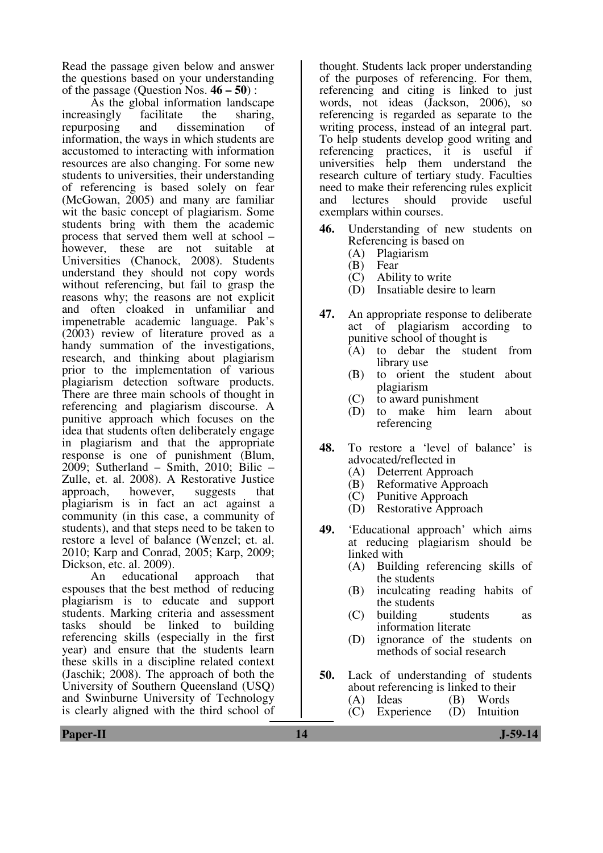Read the passage given below and answer the questions based on your understanding of the passage (Question Nos. **46 – 50**) :

As the global information landscape<br>singly facilitate the sharing, increasingly<br>repurposing and dissemination of information, the ways in which students are accustomed to interacting with information resources are also changing. For some new students to universities, their understanding of referencing is based solely on fear (McGowan, 2005) and many are familiar wit the basic concept of plagiarism. Some students bring with them the academic process that served them well at school – however, these are not suitable at Universities (Chanock, 2008). Students understand they should not copy words without referencing, but fail to grasp the reasons why; the reasons are not explicit and often cloaked in unfamiliar and impenetrable academic language. Pak's (2003) review of literature proved as a handy summation of the investigations, research, and thinking about plagiarism prior to the implementation of various plagiarism detection software products. There are three main schools of thought in referencing and plagiarism discourse. A punitive approach which focuses on the idea that students often deliberately engage in plagiarism and that the appropriate response is one of punishment (Blum, 2009; Sutherland – Smith, 2010; Bilic – Zulle, et. al. 2008). A Restorative Justice approach, however, suggests that plagiarism is in fact an act against a community (in this case, a community of students), and that steps need to be taken to restore a level of balance (Wenzel; et. al. 2010; Karp and Conrad, 2005; Karp, 2009; Dickson, etc. al. 2009).

 An educational approach that espouses that the best method of reducing plagiarism is to educate and support students. Marking criteria and assessment tasks should be linked to building referencing skills (especially in the first year) and ensure that the students learn these skills in a discipline related context (Jaschik; 2008). The approach of both the University of Southern Queensland (USQ) and Swinburne University of Technology is clearly aligned with the third school of

thought. Students lack proper understanding of the purposes of referencing. For them, referencing and citing is linked to just words, not ideas (Jackson, 2006), so referencing is regarded as separate to the writing process, instead of an integral part. To help students develop good writing and<br>referencing practices, it is useful if practices, it is useful if universities help them understand the research culture of tertiary study. Faculties need to make their referencing rules explicit<br>and lectures should provide useful provide exemplars within courses.

- **46.** Understanding of new students on Referencing is based on<br>(A) Plagiarism
	- (A) Plagiarism
	- Fear
	- (C) Ability to write
	- (D) Insatiable desire to learn
- **47.** An appropriate response to deliberate act of plagiarism according to punitive school of thought is
	- (A) to debar the student from library use
	- (B) to orient the student about plagiarism
	- (C) to award punishment
	- (D) to make him learn about referencing
- **48.** To restore a 'level of balance' is advocated/reflected in
	- (A) Deterrent Approach
	- (B) Reformative Approach
	- (C) Punitive Approach
	- (D) Restorative Approach
- **49.** 'Educational approach' which aims at reducing plagiarism should be linked with
	- (A) Building referencing skills of the students
	- (B) inculcating reading habits of the students
	- (C) building students as information literate
	- (D) ignorance of the students on methods of social research
- **50.** Lack of understanding of students about referencing is linked to their<br>(A) Ideas (B) Words (A) Ideas (B) Words<br>(C) Experience (D) Intuition
	- $(C)$  Experience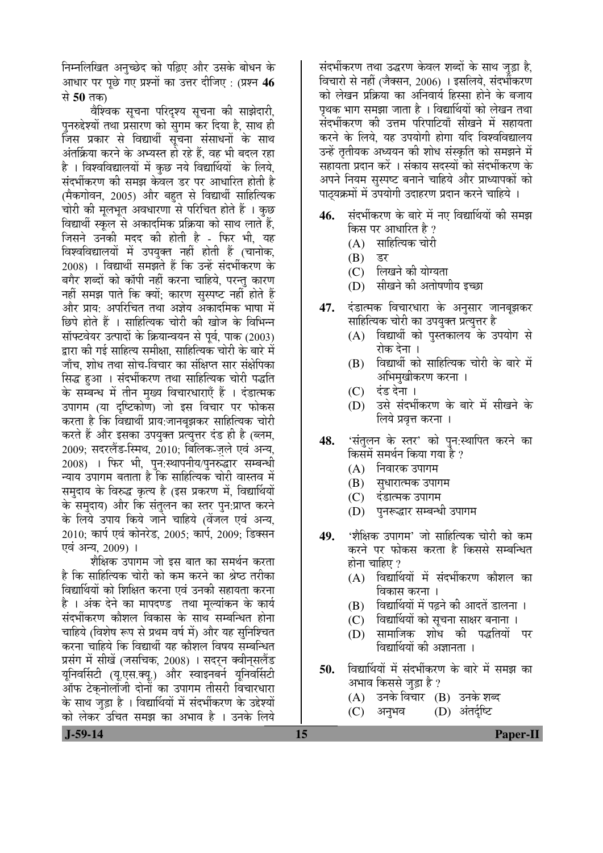निम्नलिखित अनुच्छेद को पढ़िए और उसके बोधन के आधार पर पुछे गए प्रश्नों का उत्तर दीजिए : (प्रश्न **46** से **50** तक।

वैश्विक सूचना परिदृश्य सूचना की साझेदारी, पुनरुद्देश्यों तथा प्रसारण को सुगम कर दिया है, साथ ही जिस प्रकार से विद्यार्थी सूचना संसाधनों के साथ अंतर्क्रिया करने के अभ्यस्त हो रहे हैं, वह भी बदल रहा है । विश्वविद्यालयों में कुछ नये विद्यार्थियों के लिये, संदर्भीकरण की समझ केवल डर पर आधारित होती है (मैकगोवन, 2005) और बहत से विद्यार्थी साहित्यिक चोरी की मुलभुत अवधारणा से परिचित होते हैं । कुछ विद्यार्थी स्कल से अकादमिक प्रक्रिया को साथ लाते हैं. जिसने उनकी मदद की होती है - फिर भी, यह विश्वविद्यालयों में उपयक्त नहीं होती हैं (चानोक, 2008) । विद्यार्थी समझते हैं कि उन्हें संदर्भीकरण के बगैर शब्दों को कॉपी नहीं करना चाहिये, परन्तु कारण नहीं समझ पाते कि क्यों: कारण सुस्पष्ट नहीं होते हैं और प्राय: अपरिचित तथा अज्ञेय अकादमिक भाषा में छिपे होते हैं । साहित्यिक चोरी की खोज के विभिन्न <u>सॉफ्टवेयर उत्पादों के क्रियान्वयन से पूर्व, पाक (2003)</u> द्वारा की गई साहित्य समीक्षा. साहित्यिक चोरी के बारे में <u>जाँच, शोध तथा सोच-विचार का संक्षिप्त सार संक्षेपिका</u> सिद्ध हुआ । संदर्भीकरण तथा साहित्यिक चोरी पद्धति के सम्बन्ध में तीन मुख्य विचारधाराएँ हैं । दंडात्मक उपागम (या दष्टिकोण) जो इस विचार पर फोकस करता है कि विद्यार्थी प्राय:जानबूझकर साहित्यिक चोरी करते हैं और इसका उपयुक्त प्रत्युत्तर दंड ही है (ब्लम, 2009: सदरलैंड-स्मिथ, 2010: बिलिक-जले एवं अन्य, 2008) । फिर भी, पुन:स्थापनीय/पुनरुद्धार सम्बन्धी <u>न्याय उपागम बताता है कि साहित्यिक चोरी वास्तव में</u> समुदाय के विरुद्ध कृत्य है (इस प्रकरण में, विद्यार्थियों के समुदाय) और कि संतुलन का स्तर पुन:प्राप्त करने के लिये उपाय किये जाने चाहिये (वेंजल एवं अन्य, 2010; कार्प एवं कोनरेड, 2005; कार्प, 2009; डिक्सन एवं अन्य, 2009) ।

शैक्षिक उपागम जो इस बात का समर्थन करता है कि साहित्यिक चोरी को कम करने का श्रेष्ठ तरीका विद्यार्थियों को शिक्षित करना एवं उनकी सहायता करना है । अंक देने का मापदण्ड तथा मुल्यांकन के कार्य संदर्भीकरण कौशल विकास के साथ सम्बन्धित होना चाहिये (विशेष रूप से प्रथम वर्ष में) और यह सुनिश्चित करना चाहिये कि विद्यार्थी यह कौशल विषय सम्बन्धित प्रसंग में सीखें (जसचिक, 2008) । सदरन क्वीनसलैंड यूनिवर्सिटी (यू.एस.क्यू.) और स्वाइनबर्न यूनिवर्सिटी ऑफ टेकुनोलॉजी दोनों का उपागम तीसरी विचारधारा के साथ जुड़ा है । विद्यार्थियों में संदर्भीकरण के उद्देश्यों <u>को लेकर उचित समझ का अभाव है । उनके लिये</u>

संदर्भीकरण तथा उद्धरण केवल शब्दों के साथ जुड़ा है, विचारो से नहीं (जैक्सन, 2006) । इसलिये, संदर्भीकरण को लेखन प्रक्रिया का अनिवार्य हिस्सा होने के बजाय पथक भाग समझा जाता है । विद्यार्थियों को लेखन तथा संदर्भीकरण की उत्तम परिपाटियाँ सीखने में सहायता करने के लिये. यह उपयोगी होगा यदि विश्वविद्यालय उन्हें तृतीयक अध्ययन की शोध संस्कृति को समझने में सहायता प्रदान करें । संकाय सदस्यों को संदर्भीकरण के अपने नियम सुस्पष्ट बनाने चाहिये और प्राध्यापकों को पाठ्यक्रमों में उपयोगी उदाहरण प्रदान करने चाहिये ।

- 46. संदर्भीकरण के बारे में नए विद्यार्थियों की समझ किस पर आधारित है ?
	- $(A)$  साहित्यिक चोरी
	-
	- (B) डर<br>(C) लिग् िलिखने की योग्यता
	- (D) सीखने की अतोषणीय इच्छा
- **47.** दंडात्मक विचारधारा के अनुसार जानबुझकर साहित्यिक चोरी का उपयुक्त प्रत्युत्तर है
	- (A) विद्यार्थी को पुस्तकालय के उपयोग से रोक देना ।
	- (B) विद्यार्थी को साहित्यिक चोरी के बारे में अभिमुखीकरण करना ।
	- (C) दंड देना ।
	- (D) उसे संदर्भीकरण के बारे में सीखने के लिये प्रवृत्त करना ।
- **48.** 'संतुलन के स्तर' को पुन:स्थापित करने का किसमें समर्थन किया गया है ?
	- (A) निवारक उपागम
	- (B) संधारात्मक उपागम
	- (C) दंडात्मक उपागम
	- (D) पुनरूद्धार सम्बन्धी उपागम
- **49.** 'शैक्षिक उपागम' जो साहित्यिक चोरी को कम करने पर फोकस करता है किससे सम्बन्धित होना चाहिए $?$ 
	- $(A)$  विद्यार्थियों में संदर्भीकरण कौशल का विकास करना ।
	- (B) विद्यार्थियों में पढ़ने की आदतें डालना ।
	- (C) विद्यार्थियों को सूचना साक्षर बनाना ।
	- (D) सामाजिक शोध को पद्धतियों पर विद्यार्थियों की अज्ञानता ।
- **50.** विद्यार्थियों में संदर्भीकरण के बारे में समझ का अभाव किससे जुड़ा है ?
	- (A) उनके विचार (B) उनके शब्द
	- (C) अनुभव (D) अंतर्दृष्टि